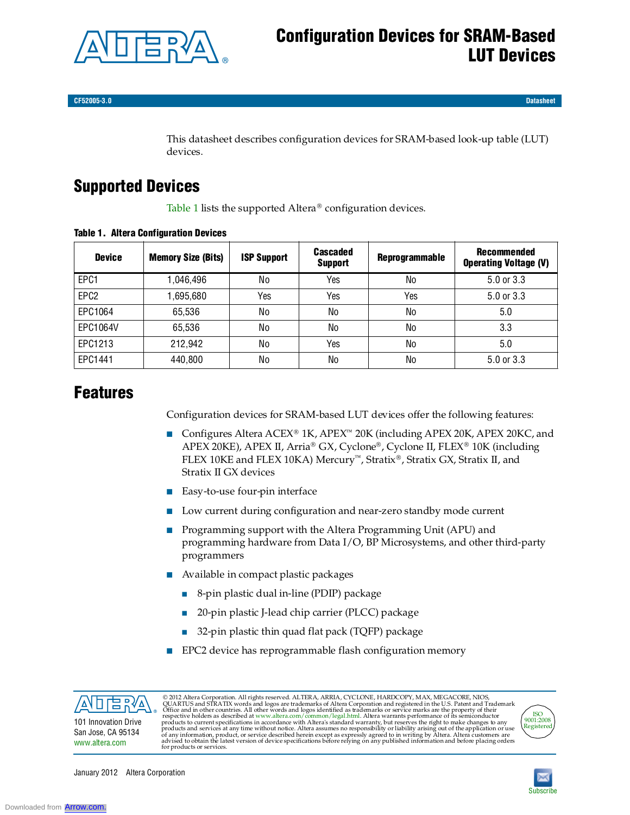

**CF52005-3.0 Datasheet**

This datasheet describes configuration devices for SRAM-based look-up table (LUT) devices.

# **Supported Devices**

Table 1 lists the supported Altera<sup>®</sup> configuration devices.

| <b>Device</b>    | <b>Memory Size (Bits)</b> | <b>ISP Support</b> | Cascaded<br><b>Support</b> | <b>Reprogrammable</b> | Recommended<br><b>Operating Voltage (V)</b> |
|------------------|---------------------------|--------------------|----------------------------|-----------------------|---------------------------------------------|
| EPC1             | 1,046,496                 | No                 | Yes                        | No                    | 5.0 or 3.3                                  |
| EPC <sub>2</sub> | 1,695,680                 | Yes                | Yes                        | Yes                   | 5.0 or 3.3                                  |
| EPC1064          | 65,536                    | No                 | No                         | No                    | 5.0                                         |
| EPC1064V         | 65,536                    | No                 | No                         | No                    | 3.3                                         |
| EPC1213          | 212,942                   | No                 | Yes                        | No                    | 5.0                                         |
| EPC1441          | 440,800                   | No                 | No                         | No                    | $5.0$ or $3.3$                              |

#### **Table 1. Altera Configuration Devices**

## **Features**

Configuration devices for SRAM-based LUT devices offer the following features:

- Configures Altera ACEX<sup>®</sup> 1K, APEX<sup>™</sup> 20K (including APEX 20K, APEX 20KC, and APEX 20KE), APEX II, Arria® GX, Cyclone®, Cyclone II, FLEX® 10K (including FLEX 10KE and FLEX 10KA) Mercury<sup>71</sup>, Stratix®, Stratix GX, Stratix II, and Stratix II GX devices
- Easy-to-use four-pin interface
- Low current during configuration and near-zero standby mode current
- Programming support with the Altera Programming Unit (APU) and programming hardware from Data I/O, BP Microsystems, and other third-party programmers
- Available in compact plastic packages
	- 8-pin plastic dual in-line (PDIP) package
	- 20-pin plastic J-lead chip carrier (PLCC) package
	- 32-pin plastic thin quad flat pack (TQFP) package
- EPC2 device has reprogrammable flash configuration memory



© 2012 Altera Corporation. All rights reserved. ALTERA, ARRIA, CYCLONE, HARDCOPY, MAX, MEGACORE, NIOS, QUARTUS and STRATIX words and logos are trademarks of Altera Corporation and registered in the U.S. Patent and Tradema

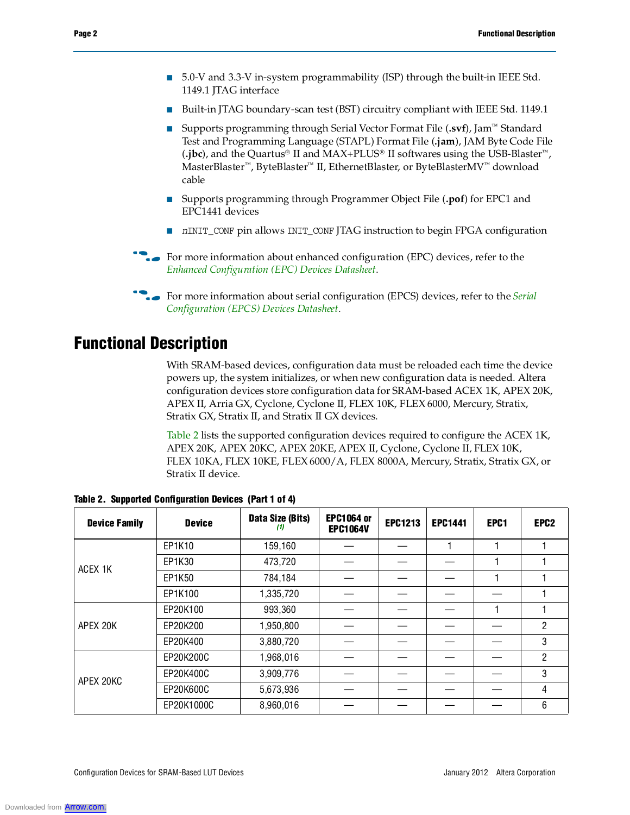- 5.0-V and 3.3-V in-system programmability (ISP) through the built-in IEEE Std. 1149.1 JTAG interface
- Built-in JTAG boundary-scan test (BST) circuitry compliant with IEEE Std. 1149.1
- Supports programming through Serial Vector Format File (.svf), Jam<sup>™</sup> Standard Test and Programming Language (STAPL) Format File (**.jam**), JAM Byte Code File  $(i)$ jbc), and the Quartus<sup>®</sup> II and MAX+PLUS<sup>®</sup> II softwares using the USB-Blaster<sup>™</sup>, MasterBlaster<sup>™</sup>, ByteBlaster<sup>™</sup> II, EthernetBlaster, or ByteBlasterMV<sup>™</sup> download cable
- Supports programming through Programmer Object File (**.pof**) for EPC1 and EPC1441 devices
- *n*INIT\_CONF pin allows INIT\_CONF JTAG instruction to begin FPGA configuration
- **For more information about enhanced configuration (EPC) devices, refer to the** *Enhanced Configuration (EPC) Devices Datasheet*.
- **for more information about serial configuration (EPCS) devices, refer to the** *Serial* **<b>devices** *Configuration (EPCS) Devices Datasheet*.

## **Functional Description**

With SRAM-based devices, configuration data must be reloaded each time the device powers up, the system initializes, or when new configuration data is needed. Altera configuration devices store configuration data for SRAM-based ACEX 1K, APEX 20K, APEX II, Arria GX, Cyclone, Cyclone II, FLEX 10K, FLEX 6000, Mercury, Stratix, Stratix GX, Stratix II, and Stratix II GX devices.

Table 2 lists the supported configuration devices required to configure the ACEX 1K, APEX 20K, APEX 20KC, APEX 20KE, APEX II, Cyclone, Cyclone II, FLEX 10K, FLEX 10KA, FLEX 10KE, FLEX 6000/A, FLEX 8000A, Mercury, Stratix, Stratix GX, or Stratix II device.

| <b>Device Family</b> | <b>Device</b> | Data Size (Bits)<br>(1) | <b>EPC1064 or</b><br><b>EPC1064V</b> | <b>EPC1213</b> | <b>EPC1441</b> | EPC <sub>1</sub> | EPC <sub>2</sub> |
|----------------------|---------------|-------------------------|--------------------------------------|----------------|----------------|------------------|------------------|
|                      | EP1K10        | 159,160                 |                                      |                |                |                  |                  |
| ACEX 1K              | EP1K30        | 473,720                 |                                      |                |                |                  |                  |
|                      | EP1K50        | 784,184                 |                                      |                |                |                  |                  |
|                      | EP1K100       | 1,335,720               |                                      |                |                |                  |                  |
|                      | EP20K100      | 993,360                 |                                      |                |                |                  |                  |
| APEX 20K             | EP20K200      | 1,950,800               |                                      |                |                |                  | 2                |
|                      | EP20K400      | 3,880,720               |                                      |                |                |                  | 3                |
|                      | EP20K200C     | 1,968,016               |                                      |                |                |                  | 2                |
| APEX 20KC            | EP20K400C     | 3,909,776               |                                      |                |                |                  | 3                |
|                      | EP20K600C     | 5,673,936               |                                      |                |                |                  | 4                |
|                      | EP20K1000C    | 8,960,016               |                                      |                |                |                  | 6                |

**Table 2. Supported Configuration Devices (Part 1 of 4)**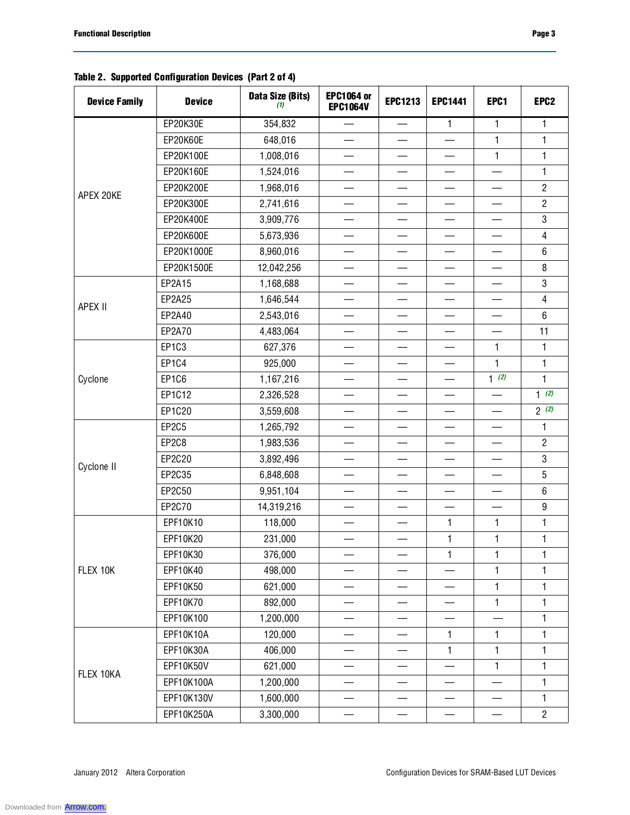### **Table 2. Supported Configuration Devices (Part 2 of 4)**

| <b>Device Family</b>                            | <b>Device</b> | Data Size (Bits)<br>(1)                                                                                                                                                                                                                                                                                                                                                                                                                                                                                                                                                                                                                                                                                                                                                                                                                                                                                                                       | <b>EPC1064 or</b><br><b>EPC1064V</b> | <b>EPC1213</b>           | <b>EPC1441</b>           | EPC1    | EPC <sub>2</sub> |
|-------------------------------------------------|---------------|-----------------------------------------------------------------------------------------------------------------------------------------------------------------------------------------------------------------------------------------------------------------------------------------------------------------------------------------------------------------------------------------------------------------------------------------------------------------------------------------------------------------------------------------------------------------------------------------------------------------------------------------------------------------------------------------------------------------------------------------------------------------------------------------------------------------------------------------------------------------------------------------------------------------------------------------------|--------------------------------------|--------------------------|--------------------------|---------|------------------|
|                                                 | EP20K30E      | 354,832                                                                                                                                                                                                                                                                                                                                                                                                                                                                                                                                                                                                                                                                                                                                                                                                                                                                                                                                       | $\qquad \qquad$                      | $\qquad \qquad$          | $\mathbf{1}$             | 1       | 1                |
|                                                 | EP20K60E      | 648,016                                                                                                                                                                                                                                                                                                                                                                                                                                                                                                                                                                                                                                                                                                                                                                                                                                                                                                                                       | $\qquad \qquad$                      | $\qquad \qquad$          | $\overline{\phantom{0}}$ | 1       | 1                |
|                                                 | EP20K100E     | 1,008,016                                                                                                                                                                                                                                                                                                                                                                                                                                                                                                                                                                                                                                                                                                                                                                                                                                                                                                                                     |                                      |                          |                          | 1       | $\mathbf{1}$     |
|                                                 | EP20K160E     | 1,524,016                                                                                                                                                                                                                                                                                                                                                                                                                                                                                                                                                                                                                                                                                                                                                                                                                                                                                                                                     | $\overline{\phantom{0}}$             | $\overline{\phantom{0}}$ |                          |         | $\mathbf{1}$     |
|                                                 | EP20K200E     | 1,968,016                                                                                                                                                                                                                                                                                                                                                                                                                                                                                                                                                                                                                                                                                                                                                                                                                                                                                                                                     |                                      |                          |                          |         | $\overline{2}$   |
|                                                 | EP20K300E     | 2,741,616                                                                                                                                                                                                                                                                                                                                                                                                                                                                                                                                                                                                                                                                                                                                                                                                                                                                                                                                     |                                      |                          |                          |         | $\overline{2}$   |
|                                                 | EP20K400E     | 3,909,776                                                                                                                                                                                                                                                                                                                                                                                                                                                                                                                                                                                                                                                                                                                                                                                                                                                                                                                                     |                                      |                          |                          |         | $\mathbf{3}$     |
|                                                 | EP20K600E     | 5,673,936<br>8,960,016<br>$\overline{\phantom{0}}$<br>—<br>—<br>12,042,256<br>1,168,688<br>—<br>—<br>$\overline{\phantom{0}}$<br>—<br>1,646,544<br>2,543,016<br>4,483,064<br>$\qquad \qquad$<br>$\qquad \qquad$<br>$\overbrace{\phantom{13333}}$<br>627,376<br>$\mathbf{1}$<br>$\overline{\phantom{0}}$<br>925,000<br>1<br>$\overline{\phantom{0}}$<br>$1$ $\overline{2}$<br>1,167,216<br>2,326,528<br>3,559,608<br>$\qquad \qquad$<br>$\qquad \qquad$<br>1,265,792<br>1,983,536<br>—<br>—<br>—<br>—<br>3,892,496<br>6,848,608<br>9,951,104<br>14,319,216<br>$\overline{\phantom{0}}$<br>$\equiv$<br>$\overline{\phantom{0}}$<br>118,000<br>$\mathbf{1}$<br>$\mathbf{1}$<br>231,000<br>$\mathbf{1}$<br>$\mathbf{1}$<br>376,000<br>$\mathbf{1}$<br>1<br>498,000<br>1<br>621,000<br>1<br>—<br>892,000<br>$\mathbf{1}$<br>$\qquad \qquad$<br>—<br>1,200,000<br>120,000<br>$\mathbf{1}$<br>1<br>—<br>406,000<br>$\mathbf{1}$<br>1<br>621,000<br>1 | $\overline{4}$                       |                          |                          |         |                  |
|                                                 | EP20K1000E    |                                                                                                                                                                                                                                                                                                                                                                                                                                                                                                                                                                                                                                                                                                                                                                                                                                                                                                                                               |                                      |                          |                          |         | 6                |
|                                                 | EP20K1500E    |                                                                                                                                                                                                                                                                                                                                                                                                                                                                                                                                                                                                                                                                                                                                                                                                                                                                                                                                               |                                      |                          |                          |         | 8                |
|                                                 | EP2A15        |                                                                                                                                                                                                                                                                                                                                                                                                                                                                                                                                                                                                                                                                                                                                                                                                                                                                                                                                               |                                      |                          |                          |         | $\mathbf 3$      |
|                                                 | EP2A25        |                                                                                                                                                                                                                                                                                                                                                                                                                                                                                                                                                                                                                                                                                                                                                                                                                                                                                                                                               |                                      |                          |                          |         | $\overline{4}$   |
|                                                 | EP2A40        |                                                                                                                                                                                                                                                                                                                                                                                                                                                                                                                                                                                                                                                                                                                                                                                                                                                                                                                                               |                                      |                          |                          |         | 6                |
|                                                 | EP2A70        |                                                                                                                                                                                                                                                                                                                                                                                                                                                                                                                                                                                                                                                                                                                                                                                                                                                                                                                                               |                                      |                          |                          |         | 11               |
|                                                 | EP1C3         |                                                                                                                                                                                                                                                                                                                                                                                                                                                                                                                                                                                                                                                                                                                                                                                                                                                                                                                                               |                                      |                          |                          |         | 1                |
| Cyclone                                         | EP1C4         |                                                                                                                                                                                                                                                                                                                                                                                                                                                                                                                                                                                                                                                                                                                                                                                                                                                                                                                                               |                                      |                          |                          |         | $\mathbf{1}$     |
|                                                 | EP1C6         |                                                                                                                                                                                                                                                                                                                                                                                                                                                                                                                                                                                                                                                                                                                                                                                                                                                                                                                                               |                                      |                          |                          |         | $\mathbf{1}$     |
|                                                 | EP1C12        |                                                                                                                                                                                                                                                                                                                                                                                                                                                                                                                                                                                                                                                                                                                                                                                                                                                                                                                                               |                                      |                          |                          |         | 1(2)             |
|                                                 | EP1C20        |                                                                                                                                                                                                                                                                                                                                                                                                                                                                                                                                                                                                                                                                                                                                                                                                                                                                                                                                               |                                      |                          |                          |         | 2(2)             |
|                                                 | <b>EP2C5</b>  |                                                                                                                                                                                                                                                                                                                                                                                                                                                                                                                                                                                                                                                                                                                                                                                                                                                                                                                                               |                                      |                          |                          |         | 1                |
|                                                 | EP2C8         |                                                                                                                                                                                                                                                                                                                                                                                                                                                                                                                                                                                                                                                                                                                                                                                                                                                                                                                                               |                                      |                          |                          |         | $\overline{2}$   |
|                                                 | EP2C20        |                                                                                                                                                                                                                                                                                                                                                                                                                                                                                                                                                                                                                                                                                                                                                                                                                                                                                                                                               |                                      |                          |                          |         | 3                |
|                                                 | EP2C35        |                                                                                                                                                                                                                                                                                                                                                                                                                                                                                                                                                                                                                                                                                                                                                                                                                                                                                                                                               |                                      |                          |                          |         | $\sqrt{5}$       |
|                                                 | EP2C50        |                                                                                                                                                                                                                                                                                                                                                                                                                                                                                                                                                                                                                                                                                                                                                                                                                                                                                                                                               |                                      |                          |                          | $\,6\,$ |                  |
|                                                 | EP2C70        |                                                                                                                                                                                                                                                                                                                                                                                                                                                                                                                                                                                                                                                                                                                                                                                                                                                                                                                                               |                                      |                          |                          |         | $\boldsymbol{9}$ |
|                                                 | EPF10K10      |                                                                                                                                                                                                                                                                                                                                                                                                                                                                                                                                                                                                                                                                                                                                                                                                                                                                                                                                               |                                      |                          |                          |         | 1                |
|                                                 | EPF10K20      |                                                                                                                                                                                                                                                                                                                                                                                                                                                                                                                                                                                                                                                                                                                                                                                                                                                                                                                                               |                                      |                          |                          |         | $\mathbf{1}$     |
|                                                 | EPF10K30      |                                                                                                                                                                                                                                                                                                                                                                                                                                                                                                                                                                                                                                                                                                                                                                                                                                                                                                                                               |                                      |                          |                          |         | 1                |
| FLEX 10K                                        | EPF10K40      |                                                                                                                                                                                                                                                                                                                                                                                                                                                                                                                                                                                                                                                                                                                                                                                                                                                                                                                                               |                                      |                          |                          |         | $\mathbf{1}$     |
|                                                 | EPF10K50      |                                                                                                                                                                                                                                                                                                                                                                                                                                                                                                                                                                                                                                                                                                                                                                                                                                                                                                                                               |                                      |                          |                          |         | 1                |
|                                                 | EPF10K70      |                                                                                                                                                                                                                                                                                                                                                                                                                                                                                                                                                                                                                                                                                                                                                                                                                                                                                                                                               |                                      |                          |                          |         | 1                |
|                                                 | EPF10K100     |                                                                                                                                                                                                                                                                                                                                                                                                                                                                                                                                                                                                                                                                                                                                                                                                                                                                                                                                               |                                      |                          |                          |         | 1                |
|                                                 | EPF10K10A     |                                                                                                                                                                                                                                                                                                                                                                                                                                                                                                                                                                                                                                                                                                                                                                                                                                                                                                                                               |                                      |                          |                          |         | 1                |
|                                                 | EPF10K30A     |                                                                                                                                                                                                                                                                                                                                                                                                                                                                                                                                                                                                                                                                                                                                                                                                                                                                                                                                               |                                      |                          |                          |         | $\mathbf{1}$     |
|                                                 | EPF10K50V     |                                                                                                                                                                                                                                                                                                                                                                                                                                                                                                                                                                                                                                                                                                                                                                                                                                                                                                                                               |                                      |                          |                          |         | 1                |
| APEX 20KE<br>APEX II<br>Cyclone II<br>FLEX 10KA | EPF10K100A    | 1,200,000                                                                                                                                                                                                                                                                                                                                                                                                                                                                                                                                                                                                                                                                                                                                                                                                                                                                                                                                     |                                      |                          |                          |         | 1                |
|                                                 | EPF10K130V    | 1,600,000                                                                                                                                                                                                                                                                                                                                                                                                                                                                                                                                                                                                                                                                                                                                                                                                                                                                                                                                     |                                      |                          |                          |         | $\mathbf{1}$     |
|                                                 | EPF10K250A    | 3,300,000                                                                                                                                                                                                                                                                                                                                                                                                                                                                                                                                                                                                                                                                                                                                                                                                                                                                                                                                     |                                      |                          |                          |         | $\overline{2}$   |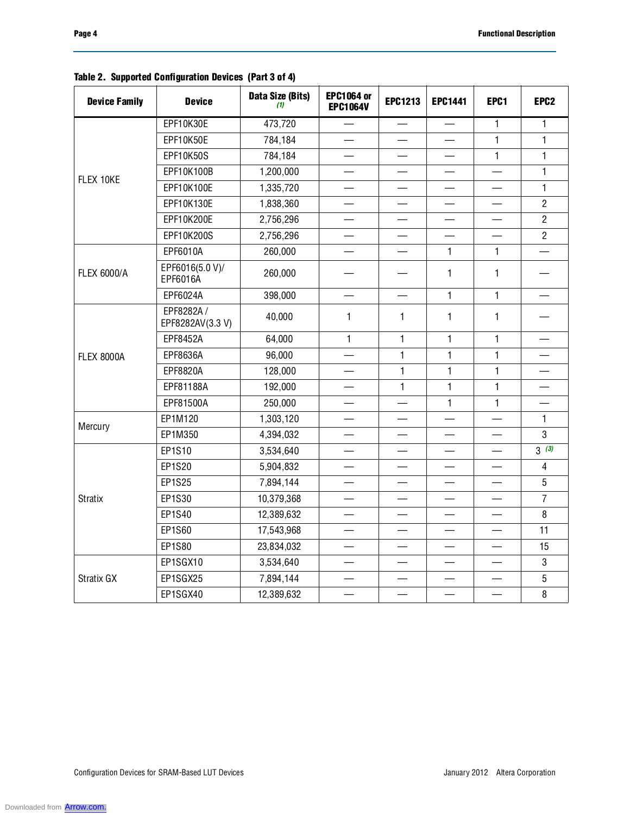| <b>Device Family</b>                                                                                                                                                                                                                                                                                                                                                                                                                                                                                                                                                                                                                                                                                                                                                                                                                                 | <b>Device</b>    | Data Size (Bits)<br>(1) | <b>EPC1064 or</b><br><b>EPC1064V</b> | <b>EPC1213</b>                                                                                                                                                                                                                                                                                                                                                                                                                                                                                                                                                                                                                                    | <b>EPC1441</b> | EPC1         | EPC <sub>2</sub> |
|------------------------------------------------------------------------------------------------------------------------------------------------------------------------------------------------------------------------------------------------------------------------------------------------------------------------------------------------------------------------------------------------------------------------------------------------------------------------------------------------------------------------------------------------------------------------------------------------------------------------------------------------------------------------------------------------------------------------------------------------------------------------------------------------------------------------------------------------------|------------------|-------------------------|--------------------------------------|---------------------------------------------------------------------------------------------------------------------------------------------------------------------------------------------------------------------------------------------------------------------------------------------------------------------------------------------------------------------------------------------------------------------------------------------------------------------------------------------------------------------------------------------------------------------------------------------------------------------------------------------------|----------------|--------------|------------------|
|                                                                                                                                                                                                                                                                                                                                                                                                                                                                                                                                                                                                                                                                                                                                                                                                                                                      | EPF10K30E        | 473,720                 | $\overline{\phantom{0}}$             |                                                                                                                                                                                                                                                                                                                                                                                                                                                                                                                                                                                                                                                   |                | $\mathbf{1}$ | $\mathbf{1}$     |
|                                                                                                                                                                                                                                                                                                                                                                                                                                                                                                                                                                                                                                                                                                                                                                                                                                                      | EPF10K50E        | 784,184                 |                                      |                                                                                                                                                                                                                                                                                                                                                                                                                                                                                                                                                                                                                                                   |                | $\mathbf{1}$ | $\mathbf{1}$     |
|                                                                                                                                                                                                                                                                                                                                                                                                                                                                                                                                                                                                                                                                                                                                                                                                                                                      | <b>EPF10K50S</b> | 784,184                 |                                      |                                                                                                                                                                                                                                                                                                                                                                                                                                                                                                                                                                                                                                                   |                | $\mathbf{1}$ | $\mathbf{1}$     |
| EPF10K100B<br>1,200,000<br>FLEX 10KE<br>EPF10K100E<br>1,335,720<br>EPF10K130E<br>1,838,360<br>EPF10K200E<br>2,756,296<br>EPF10K200S<br>2,756,296<br>$\equiv$<br>EPF6010A<br>260,000<br>EPF6016(5.0 V)/<br><b>FLEX 6000/A</b><br>260,000<br>EPF6016A<br>EPF6024A<br>398,000<br>EPF8282A /<br>40,000<br>$\mathbf{1}$<br>EPF8282AV(3.3 V)<br>64,000<br>$\mathbf{1}$<br>EPF8452A<br>EPF8636A<br>96,000<br><b>FLEX 8000A</b><br>EPF8820A<br>128,000<br>192,000<br>EPF81188A<br>250,000<br>EPF81500A<br>$\overline{\phantom{0}}$<br>EP1M120<br>1,303,120<br>Mercury<br>EP1M350<br>4,394,032<br>EP1S10<br>3,534,640<br>EP1S20<br>5,904,832<br>$\equiv$<br><b>EP1S25</b><br>7,894,144<br>$\overline{\phantom{0}}$<br>EP1S30<br>10,379,368<br><b>Stratix</b><br>EP1S40<br>12,389,632<br>EP1S60<br>17,543,968<br>EP1S80<br>23,834,032<br>EP1SGX10<br>3,534,640 |                  |                         |                                      |                                                                                                                                                                                                                                                                                                                                                                                                                                                                                                                                                                                                                                                   | $\mathbf{1}$   |              |                  |
|                                                                                                                                                                                                                                                                                                                                                                                                                                                                                                                                                                                                                                                                                                                                                                                                                                                      |                  |                         |                                      | $\overline{\phantom{0}}$<br>1<br>$\mathbf{1}$<br>1<br>$\mathbf{1}$<br>1<br>$\mathbf{1}$<br>$\mathbf{1}$<br>$\mathbf{1}$<br>$\mathbf{1}$<br>$\mathbf{1}$<br>$\mathbf{1}$<br>$\mathbf{1}$<br>1<br>1<br>$\mathbf{1}$<br>$\mathbf{1}$<br>$\mathbf{1}$<br>$\mathbf{1}$<br>$\mathbf{1}$<br>$\mathbf{1}$<br>$\mathbf{1}$<br>$\mathbf{1}$<br>$\mathbf{1}$<br>$\overline{\phantom{0}}$<br>$\equiv$<br>$\overline{\phantom{0}}$<br>$\overline{\phantom{0}}$<br>$\equiv$<br>$\overline{\phantom{0}}$<br>$\overline{\phantom{0}}$<br>$\overline{\phantom{0}}$<br>$\overline{\phantom{0}}$<br>$\overline{\phantom{0}}$<br>$\overline{\phantom{0}}$<br>$\equiv$ | 1              |              |                  |
|                                                                                                                                                                                                                                                                                                                                                                                                                                                                                                                                                                                                                                                                                                                                                                                                                                                      |                  |                         |                                      |                                                                                                                                                                                                                                                                                                                                                                                                                                                                                                                                                                                                                                                   |                |              | $\overline{2}$   |
|                                                                                                                                                                                                                                                                                                                                                                                                                                                                                                                                                                                                                                                                                                                                                                                                                                                      |                  |                         |                                      |                                                                                                                                                                                                                                                                                                                                                                                                                                                                                                                                                                                                                                                   |                |              | $\overline{2}$   |
|                                                                                                                                                                                                                                                                                                                                                                                                                                                                                                                                                                                                                                                                                                                                                                                                                                                      |                  |                         |                                      | $\overline{2}$<br>$\mathbf{1}$<br>3<br>3(3)<br>$\overline{\mathcal{A}}$<br>5<br>$\overline{7}$<br>8<br>11<br>15<br>3                                                                                                                                                                                                                                                                                                                                                                                                                                                                                                                              |                |              |                  |
|                                                                                                                                                                                                                                                                                                                                                                                                                                                                                                                                                                                                                                                                                                                                                                                                                                                      |                  |                         |                                      |                                                                                                                                                                                                                                                                                                                                                                                                                                                                                                                                                                                                                                                   |                |              |                  |
|                                                                                                                                                                                                                                                                                                                                                                                                                                                                                                                                                                                                                                                                                                                                                                                                                                                      |                  |                         |                                      |                                                                                                                                                                                                                                                                                                                                                                                                                                                                                                                                                                                                                                                   |                |              |                  |
|                                                                                                                                                                                                                                                                                                                                                                                                                                                                                                                                                                                                                                                                                                                                                                                                                                                      |                  |                         |                                      |                                                                                                                                                                                                                                                                                                                                                                                                                                                                                                                                                                                                                                                   |                |              |                  |
|                                                                                                                                                                                                                                                                                                                                                                                                                                                                                                                                                                                                                                                                                                                                                                                                                                                      |                  |                         |                                      |                                                                                                                                                                                                                                                                                                                                                                                                                                                                                                                                                                                                                                                   |                |              |                  |
|                                                                                                                                                                                                                                                                                                                                                                                                                                                                                                                                                                                                                                                                                                                                                                                                                                                      |                  |                         |                                      |                                                                                                                                                                                                                                                                                                                                                                                                                                                                                                                                                                                                                                                   |                |              |                  |
|                                                                                                                                                                                                                                                                                                                                                                                                                                                                                                                                                                                                                                                                                                                                                                                                                                                      |                  |                         |                                      |                                                                                                                                                                                                                                                                                                                                                                                                                                                                                                                                                                                                                                                   |                |              |                  |
|                                                                                                                                                                                                                                                                                                                                                                                                                                                                                                                                                                                                                                                                                                                                                                                                                                                      |                  |                         |                                      |                                                                                                                                                                                                                                                                                                                                                                                                                                                                                                                                                                                                                                                   |                |              |                  |
|                                                                                                                                                                                                                                                                                                                                                                                                                                                                                                                                                                                                                                                                                                                                                                                                                                                      |                  |                         |                                      |                                                                                                                                                                                                                                                                                                                                                                                                                                                                                                                                                                                                                                                   |                |              |                  |
|                                                                                                                                                                                                                                                                                                                                                                                                                                                                                                                                                                                                                                                                                                                                                                                                                                                      |                  | 7,894,144<br>12,389,632 |                                      |                                                                                                                                                                                                                                                                                                                                                                                                                                                                                                                                                                                                                                                   |                |              |                  |
|                                                                                                                                                                                                                                                                                                                                                                                                                                                                                                                                                                                                                                                                                                                                                                                                                                                      |                  |                         |                                      |                                                                                                                                                                                                                                                                                                                                                                                                                                                                                                                                                                                                                                                   |                |              |                  |
|                                                                                                                                                                                                                                                                                                                                                                                                                                                                                                                                                                                                                                                                                                                                                                                                                                                      |                  |                         |                                      |                                                                                                                                                                                                                                                                                                                                                                                                                                                                                                                                                                                                                                                   |                |              |                  |
|                                                                                                                                                                                                                                                                                                                                                                                                                                                                                                                                                                                                                                                                                                                                                                                                                                                      |                  |                         |                                      |                                                                                                                                                                                                                                                                                                                                                                                                                                                                                                                                                                                                                                                   |                |              |                  |
|                                                                                                                                                                                                                                                                                                                                                                                                                                                                                                                                                                                                                                                                                                                                                                                                                                                      |                  |                         |                                      |                                                                                                                                                                                                                                                                                                                                                                                                                                                                                                                                                                                                                                                   |                |              |                  |
|                                                                                                                                                                                                                                                                                                                                                                                                                                                                                                                                                                                                                                                                                                                                                                                                                                                      |                  |                         |                                      |                                                                                                                                                                                                                                                                                                                                                                                                                                                                                                                                                                                                                                                   |                |              |                  |
|                                                                                                                                                                                                                                                                                                                                                                                                                                                                                                                                                                                                                                                                                                                                                                                                                                                      |                  |                         |                                      |                                                                                                                                                                                                                                                                                                                                                                                                                                                                                                                                                                                                                                                   |                |              |                  |
|                                                                                                                                                                                                                                                                                                                                                                                                                                                                                                                                                                                                                                                                                                                                                                                                                                                      |                  |                         |                                      |                                                                                                                                                                                                                                                                                                                                                                                                                                                                                                                                                                                                                                                   |                |              |                  |
|                                                                                                                                                                                                                                                                                                                                                                                                                                                                                                                                                                                                                                                                                                                                                                                                                                                      |                  |                         |                                      |                                                                                                                                                                                                                                                                                                                                                                                                                                                                                                                                                                                                                                                   |                |              |                  |
|                                                                                                                                                                                                                                                                                                                                                                                                                                                                                                                                                                                                                                                                                                                                                                                                                                                      |                  |                         |                                      |                                                                                                                                                                                                                                                                                                                                                                                                                                                                                                                                                                                                                                                   |                |              |                  |
|                                                                                                                                                                                                                                                                                                                                                                                                                                                                                                                                                                                                                                                                                                                                                                                                                                                      |                  |                         |                                      |                                                                                                                                                                                                                                                                                                                                                                                                                                                                                                                                                                                                                                                   |                |              |                  |
| Stratix GX                                                                                                                                                                                                                                                                                                                                                                                                                                                                                                                                                                                                                                                                                                                                                                                                                                           | EP1SGX25         |                         |                                      |                                                                                                                                                                                                                                                                                                                                                                                                                                                                                                                                                                                                                                                   |                |              | 5                |
|                                                                                                                                                                                                                                                                                                                                                                                                                                                                                                                                                                                                                                                                                                                                                                                                                                                      | EP1SGX40         |                         | $\equiv$                             |                                                                                                                                                                                                                                                                                                                                                                                                                                                                                                                                                                                                                                                   |                |              | 8                |

|  |  | Table 2. Supported Configuration Devices (Part 3 of 4) |  |  |
|--|--|--------------------------------------------------------|--|--|
|--|--|--------------------------------------------------------|--|--|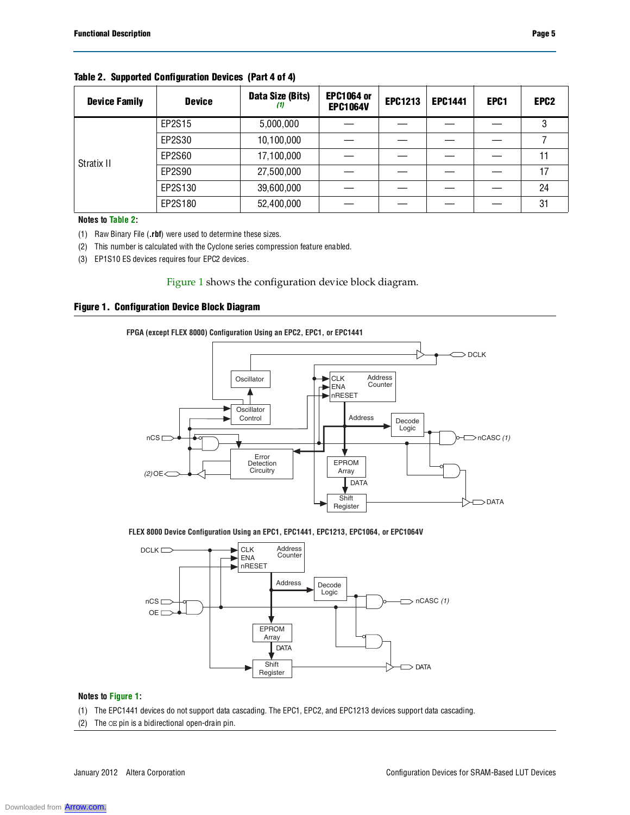| <b>Device Family</b> | <b>Device</b> | Data Size (Bits)<br>(1) | <b>EPC1064 or</b><br><b>EPC1064V</b> | <b>EPC1213</b> | <b>EPC1441</b> | EPC1 | EPC <sub>2</sub> |
|----------------------|---------------|-------------------------|--------------------------------------|----------------|----------------|------|------------------|
|                      | EP2S15        | 5,000,000               |                                      |                |                |      | 3                |
|                      | EP2S30        | 10,100,000              |                                      |                |                |      |                  |
| Stratix II           | EP2S60        | 17,100,000              |                                      |                |                |      | 11               |
|                      | EP2S90        | 27,500,000              |                                      |                |                |      | 17               |
|                      | EP2S130       | 39,600,000              |                                      |                |                |      | 24               |
|                      | EP2S180       | 52,400,000              |                                      |                |                |      | 31               |

**Table 2. Supported Configuration Devices (Part 4 of 4)**

**Notes to Table 2:**

(1) Raw Binary File (**.rbf**) were used to determine these sizes.

(2) This number is calculated with the Cyclone series compression feature enabled.

(3) EP1S10 ES devices requires four EPC2 devices.

#### Figure 1 shows the configuration device block diagram.

#### **Figure 1. Configuration Device Block Diagram**



#### **FLEX 8000 Device Configuration Using an EPC1, EPC1441, EPC1213, EPC1064, or EPC1064V**



#### **Notes to Figure 1:**

- (1) The EPC1441 devices do not support data cascading. The EPC1, EPC2, and EPC1213 devices support data cascading.
- (2) The OE pin is a bidirectional open-drain pin.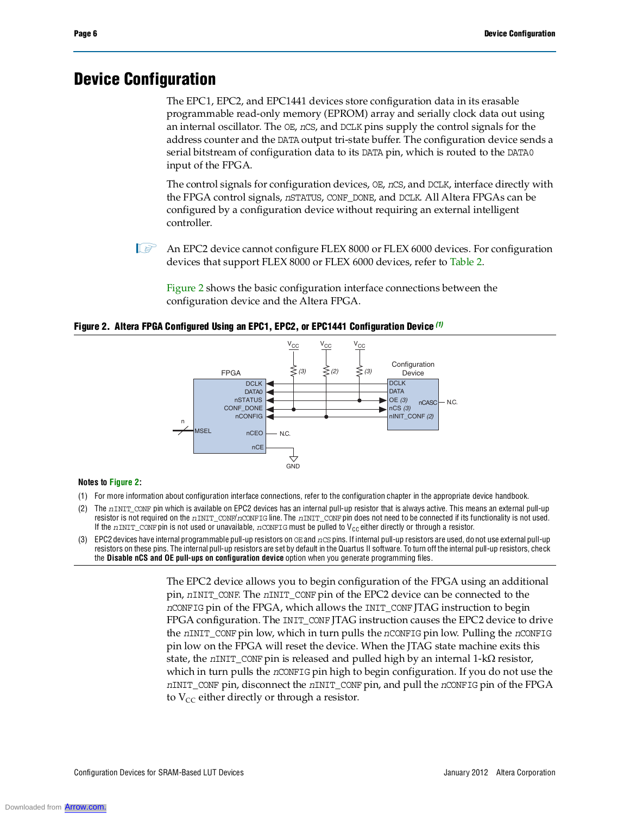### **Device Configuration**

The EPC1, EPC2, and EPC1441 devices store configuration data in its erasable programmable read-only memory (EPROM) array and serially clock data out using an internal oscillator. The OE, *n*CS, and DCLK pins supply the control signals for the address counter and the DATA output tri-state buffer. The configuration device sends a serial bitstream of configuration data to its DATA pin, which is routed to the DATA0 input of the FPGA.

The control signals for configuration devices, OE, *n*CS, and DCLK, interface directly with the FPGA control signals, *n*STATUS, CONF\_DONE, and DCLK. All Altera FPGAs can be configured by a configuration device without requiring an external intelligent controller.

**1 An EPC2 device cannot configure FLEX 8000 or FLEX 6000 devices. For configuration** devices that support FLEX 8000 or FLEX 6000 devices, refer to Table 2.

Figure 2 shows the basic configuration interface connections between the configuration device and the Altera FPGA.

**Figure 2. Altera FPGA Configured Using an EPC1, EPC2, or EPC1441 Configuration Device** *(1)*



#### **Notes to Figure 2:**

- (1) For more information about configuration interface connections, refer to the configuration chapter in the appropriate device handbook.
- (2) The *n*INIT\_CONF pin which is available on EPC2 devices has an internal pull-up resistor that is always active. This means an external pull-up resistor is not required on the *n*INIT\_CONF/*n*CONFIG line. The *n*INIT\_CONF pin does not need to be connected if its functionality is not used. If the *n*INIT\_CONF pin is not used or unavailable, *n*CONFIG must be pulled to V<sub>CC</sub> either directly or through a resistor.
- (3) EPC2 devices have internal programmable pull-up resistors on OE and *n*CS pins. If internal pull-up resistors are used, do not use external pull-up resistors on these pins. The internal pull-up resistors are set by default in the Quartus II software. To turn off the internal pull-up resistors, check the **Disable nCS and OE pull-ups on configuration device** option when you generate programming files.

The EPC2 device allows you to begin configuration of the FPGA using an additional pin, *n*INIT\_CONF. The *n*INIT\_CONF pin of the EPC2 device can be connected to the *n*CONFIG pin of the FPGA, which allows the INIT\_CONF JTAG instruction to begin FPGA configuration. The INIT\_CONF JTAG instruction causes the EPC2 device to drive the *n*INIT\_CONF pin low, which in turn pulls the *n*CONFIG pin low. Pulling the *n*CONFIG pin low on the FPGA will reset the device. When the JTAG state machine exits this state, the  $nINT\_CONF$  pin is released and pulled high by an internal  $1-k\Omega$  resistor, which in turn pulls the *n*CONFIG pin high to begin configuration. If you do not use the *n*INIT\_CONF pin, disconnect the *n*INIT\_CONF pin, and pull the *n*CONFIG pin of the FPGA to  $V_{CC}$  either directly or through a resistor.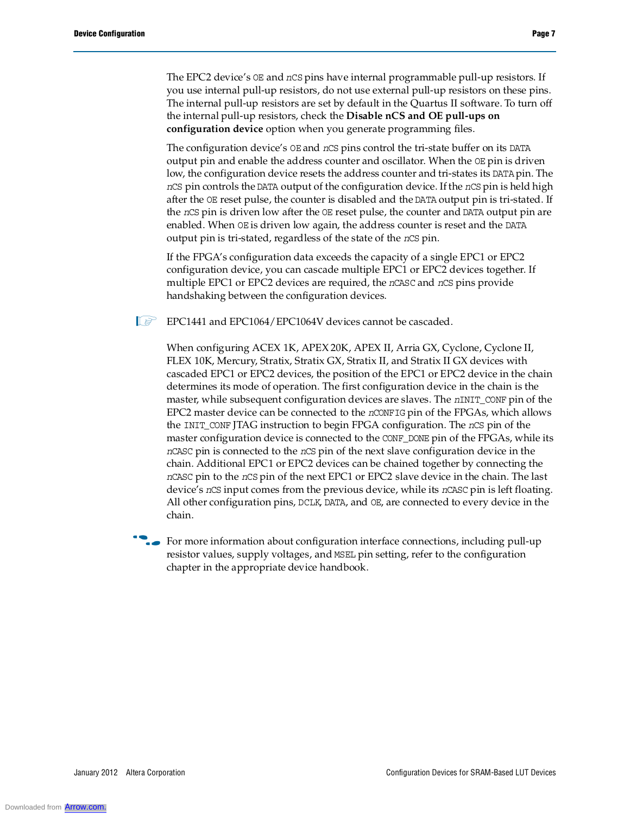The EPC2 device's OE and *n*CS pins have internal programmable pull-up resistors. If you use internal pull-up resistors, do not use external pull-up resistors on these pins. The internal pull-up resistors are set by default in the Quartus II software. To turn off the internal pull-up resistors, check the **Disable nCS and OE pull-ups on configuration device** option when you generate programming files.

The configuration device's OE and *n*CS pins control the tri-state buffer on its DATA output pin and enable the address counter and oscillator. When the OE pin is driven low, the configuration device resets the address counter and tri-states its DATA pin. The *n*CS pin controls the DATA output of the configuration device. If the *n*CS pin is held high after the OE reset pulse, the counter is disabled and the DATA output pin is tri-stated. If the *n*CS pin is driven low after the OE reset pulse, the counter and DATA output pin are enabled. When OE is driven low again, the address counter is reset and the DATA output pin is tri-stated, regardless of the state of the *n*CS pin.

If the FPGA's configuration data exceeds the capacity of a single EPC1 or EPC2 configuration device, you can cascade multiple EPC1 or EPC2 devices together. If multiple EPC1 or EPC2 devices are required, the *n*CASC and *n*CS pins provide handshaking between the configuration devices.

**IS EPC1441 and EPC1064/EPC1064V devices cannot be cascaded.** 

When configuring ACEX 1K, APEX 20K, APEX II, Arria GX, Cyclone, Cyclone II, FLEX 10K, Mercury, Stratix, Stratix GX, Stratix II, and Stratix II GX devices with cascaded EPC1 or EPC2 devices, the position of the EPC1 or EPC2 device in the chain determines its mode of operation. The first configuration device in the chain is the master, while subsequent configuration devices are slaves. The *n*INIT\_CONF pin of the EPC2 master device can be connected to the *n*CONFIG pin of the FPGAs, which allows the INIT\_CONF JTAG instruction to begin FPGA configuration. The *n*CS pin of the master configuration device is connected to the CONF\_DONE pin of the FPGAs, while its *n*CASC pin is connected to the *n*CS pin of the next slave configuration device in the chain. Additional EPC1 or EPC2 devices can be chained together by connecting the *n*CASC pin to the *n*CS pin of the next EPC1 or EPC2 slave device in the chain. The last device's *n*CS input comes from the previous device, while its *n*CASC pin is left floating. All other configuration pins, DCLK, DATA, and OE, are connected to every device in the chain.

For more information about configuration interface connections, including pull-up resistor values, supply voltages, and MSEL pin setting, refer to the configuration chapter in the appropriate device handbook.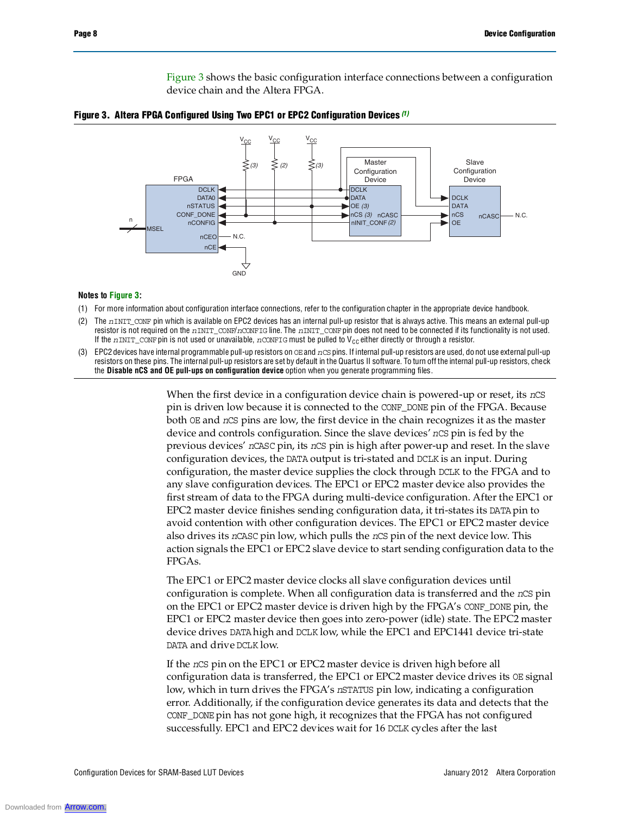Figure 3 shows the basic configuration interface connections between a configuration device chain and the Altera FPGA.





#### **Notes to Figure 3:**

- (1) For more information about configuration interface connections, refer to the configuration chapter in the appropriate device handbook.
- (2) The *n*INIT\_CONF pin which is available on EPC2 devices has an internal pull-up resistor that is always active. This means an external pull-up resistor is not required on the *n*INIT\_CONF/*n*CONFIG line. The *n*INIT\_CONF pin does not need to be connected if its functionality is not used. If the  $nINT\_COMP$  pin is not used or unavailable,  $nCONFIG$  must be pulled to V<sub>CC</sub> either directly or through a resistor.
- (3) EPC2 devices have internal programmable pull-up resistors on OE and *n*CS pins. If internal pull-up resistors are used, do not use external pull-up resistors on these pins. The internal pull-up resistors are set by default in the Quartus II software. To turn off the internal pull-up resistors, check the **Disable nCS and OE pull-ups on configuration device** option when you generate programming files.

When the first device in a configuration device chain is powered-up or reset, its *n*CS pin is driven low because it is connected to the CONF\_DONE pin of the FPGA. Because both OE and *n*CS pins are low, the first device in the chain recognizes it as the master device and controls configuration. Since the slave devices' *n*CS pin is fed by the previous devices' *n*CASC pin, its *n*CS pin is high after power-up and reset. In the slave configuration devices, the DATA output is tri-stated and DCLK is an input. During configuration, the master device supplies the clock through DCLK to the FPGA and to any slave configuration devices. The EPC1 or EPC2 master device also provides the first stream of data to the FPGA during multi-device configuration. After the EPC1 or EPC2 master device finishes sending configuration data, it tri-states its DATA pin to avoid contention with other configuration devices. The EPC1 or EPC2 master device also drives its *n*CASC pin low, which pulls the *n*CS pin of the next device low. This action signals the EPC1 or EPC2 slave device to start sending configuration data to the FPGAs.

The EPC1 or EPC2 master device clocks all slave configuration devices until configuration is complete. When all configuration data is transferred and the *n*CS pin on the EPC1 or EPC2 master device is driven high by the FPGA's CONF\_DONE pin, the EPC1 or EPC2 master device then goes into zero-power (idle) state. The EPC2 master device drives DATA high and DCLK low, while the EPC1 and EPC1441 device tri-state DATA and drive DCLK low.

If the *n*CS pin on the EPC1 or EPC2 master device is driven high before all configuration data is transferred, the EPC1 or EPC2 master device drives its OE signal low, which in turn drives the FPGA's *n*STATUS pin low, indicating a configuration error. Additionally, if the configuration device generates its data and detects that the CONF\_DONE pin has not gone high, it recognizes that the FPGA has not configured successfully. EPC1 and EPC2 devices wait for 16 DCLK cycles after the last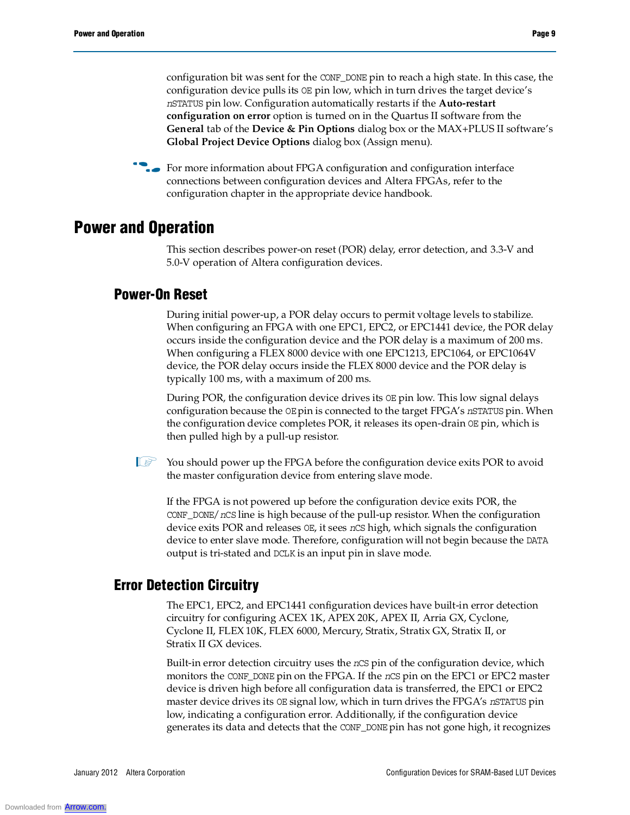configuration bit was sent for the CONF\_DONE pin to reach a high state. In this case, the configuration device pulls its OE pin low, which in turn drives the target device's *n*STATUS pin low. Configuration automatically restarts if the **Auto-restart configuration on error** option is turned on in the Quartus II software from the **General** tab of the **Device & Pin Options** dialog box or the MAX+PLUS II software's **Global Project Device Options** dialog box (Assign menu).

**For more information about FPGA configuration and configuration interface** connections between configuration devices and Altera FPGAs, refer to the configuration chapter in the appropriate device handbook.

### **Power and Operation**

This section describes power-on reset (POR) delay, error detection, and 3.3-V and 5.0-V operation of Altera configuration devices.

### **Power-On Reset**

During initial power-up, a POR delay occurs to permit voltage levels to stabilize. When configuring an FPGA with one EPC1, EPC2, or EPC1441 device, the POR delay occurs inside the configuration device and the POR delay is a maximum of 200 ms. When configuring a FLEX 8000 device with one EPC1213, EPC1064, or EPC1064V device, the POR delay occurs inside the FLEX 8000 device and the POR delay is typically 100 ms, with a maximum of 200 ms.

During POR, the configuration device drives its OE pin low. This low signal delays configuration because the OE pin is connected to the target FPGA's *n*STATUS pin. When the configuration device completes POR, it releases its open-drain OE pin, which is then pulled high by a pull-up resistor.

 $\mathbb{I}$  You should power up the FPGA before the configuration device exits POR to avoid the master configuration device from entering slave mode.

If the FPGA is not powered up before the configuration device exits POR, the CONF\_DONE/*n*CS line is high because of the pull-up resistor. When the configuration device exits POR and releases OE, it sees *n*CS high, which signals the configuration device to enter slave mode. Therefore, configuration will not begin because the DATA output is tri-stated and DCLK is an input pin in slave mode.

### **Error Detection Circuitry**

The EPC1, EPC2, and EPC1441 configuration devices have built-in error detection circuitry for configuring ACEX 1K, APEX 20K, APEX II, Arria GX, Cyclone, Cyclone II, FLEX 10K, FLEX 6000, Mercury, Stratix, Stratix GX, Stratix II, or Stratix II GX devices.

Built-in error detection circuitry uses the *n*CS pin of the configuration device, which monitors the CONF\_DONE pin on the FPGA. If the *n*CS pin on the EPC1 or EPC2 master device is driven high before all configuration data is transferred, the EPC1 or EPC2 master device drives its OE signal low, which in turn drives the FPGA's *n*STATUS pin low, indicating a configuration error. Additionally, if the configuration device generates its data and detects that the CONF\_DONE pin has not gone high, it recognizes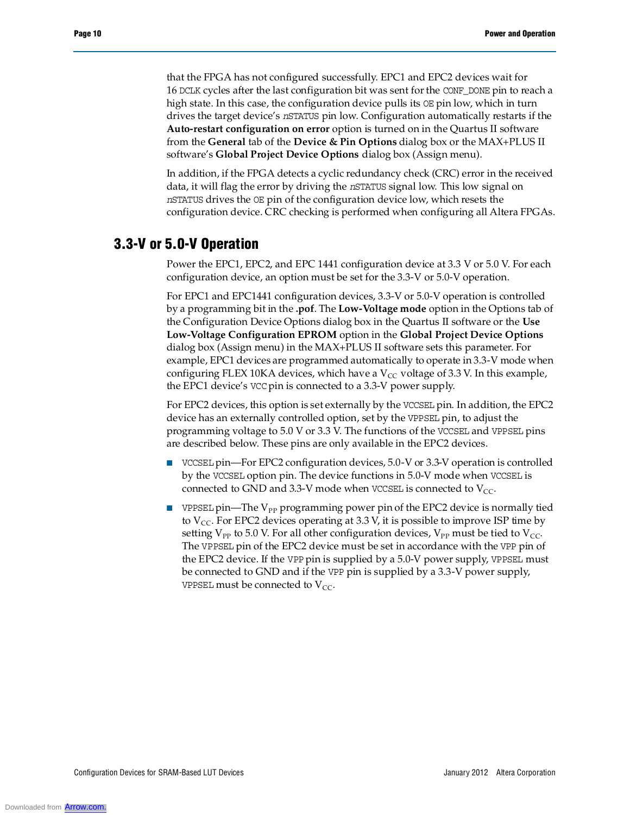that the FPGA has not configured successfully. EPC1 and EPC2 devices wait for 16 DCLK cycles after the last configuration bit was sent for the CONF\_DONE pin to reach a high state. In this case, the configuration device pulls its  $OE$  pin low, which in turn drives the target device's *n*STATUS pin low. Configuration automatically restarts if the **Auto-restart configuration on error** option is turned on in the Quartus II software from the **General** tab of the **Device & Pin Options** dialog box or the MAX+PLUS II software's **Global Project Device Options** dialog box (Assign menu).

In addition, if the FPGA detects a cyclic redundancy check (CRC) error in the received data, it will flag the error by driving the *n*STATUS signal low. This low signal on *n*STATUS drives the OE pin of the configuration device low, which resets the configuration device. CRC checking is performed when configuring all Altera FPGAs.

### **3.3-V or 5.0-V Operation**

Power the EPC1, EPC2, and EPC 1441 configuration device at 3.3 V or 5.0 V. For each configuration device, an option must be set for the 3.3-V or 5.0-V operation.

For EPC1 and EPC1441 configuration devices, 3.3-V or 5.0-V operation is controlled by a programming bit in the **.pof**. The **Low-Voltage mode** option in the Options tab of the Configuration Device Options dialog box in the Quartus II software or the **Use Low-Voltage Configuration EPROM** option in the **Global Project Device Options** dialog box (Assign menu) in the MAX+PLUS II software sets this parameter. For example, EPC1 devices are programmed automatically to operate in 3.3-V mode when configuring FLEX 10KA devices, which have a  $V_{CC}$  voltage of 3.3 V. In this example, the EPC1 device's VCC pin is connected to a 3.3-V power supply.

For EPC2 devices, this option is set externally by the VCCSEL pin. In addition, the EPC2 device has an externally controlled option, set by the VPPSEL pin, to adjust the programming voltage to 5.0 V or 3.3 V. The functions of the VCCSEL and VPPSEL pins are described below. These pins are only available in the EPC2 devices.

- VCCSEL pin—For EPC2 configuration devices, 5.0-V or 3.3-V operation is controlled by the VCCSEL option pin. The device functions in 5.0-V mode when VCCSEL is connected to GND and 3.3-V mode when VCCSEL is connected to  $V_{CC}$ .
- **■** VPPSEL pin—The  $V_{PP}$  programming power pin of the EPC2 device is normally tied to  $V_{CC}$ . For EPC2 devices operating at 3.3 V, it is possible to improve ISP time by setting  $V_{PP}$  to 5.0 V. For all other configuration devices,  $V_{PP}$  must be tied to  $V_{CC}$ . The VPPSEL pin of the EPC2 device must be set in accordance with the VPP pin of the EPC2 device. If the VPP pin is supplied by a 5.0-V power supply, VPPSEL must be connected to GND and if the VPP pin is supplied by a 3.3-V power supply, VPPSEL must be connected to  $V_{CC}$ .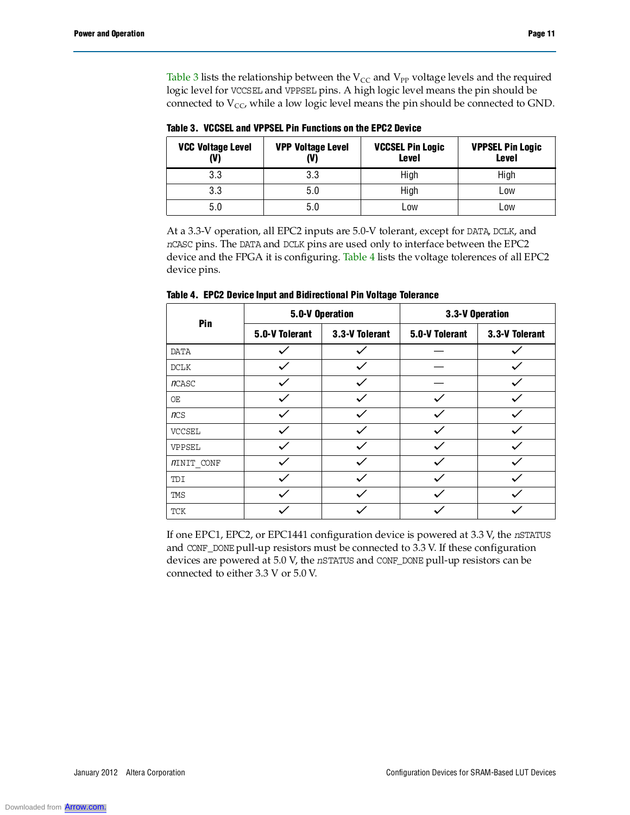Table 3 lists the relationship between the  $V_{CC}$  and  $V_{PP}$  voltage levels and the required logic level for VCCSEL and VPPSEL pins. A high logic level means the pin should be connected to  $V_{CC}$ , while a low logic level means the pin should be connected to GND.

**VCC Voltage Level (V) VPP Voltage Level (V) VCCSEL Pin Logic Level VPPSEL Pin Logic Level** 3.3 3.3 High High 3.3 5.0 High Low 5.0 5.0 Low Low

**Table 3. VCCSEL and VPPSEL Pin Functions on the EPC2 Device**

At a 3.3-V operation, all EPC2 inputs are 5.0-V tolerant, except for DATA, DCLK, and *n*CASC pins. The DATA and DCLK pins are used only to interface between the EPC2 device and the FPGA it is configuring. Table 4 lists the voltage tolerences of all EPC2 device pins.

| Pin               | 5.0-V Operation |                | 3.3-V Operation |                |  |
|-------------------|-----------------|----------------|-----------------|----------------|--|
|                   | 5.0-V Tolerant  | 3.3-V Tolerant | 5.0-V Tolerant  | 3.3-V Tolerant |  |
| <b>DATA</b>       |                 |                |                 |                |  |
| DCLK              |                 |                |                 |                |  |
| nCASC             |                 |                |                 |                |  |
| OE                |                 |                |                 |                |  |
| ncs               |                 |                |                 |                |  |
| <b>VCCSEL</b>     |                 |                |                 |                |  |
| VPPSEL            |                 |                |                 |                |  |
| <i>NINIT CONF</i> |                 |                |                 |                |  |
| TDI               |                 |                |                 |                |  |
| TMS               |                 |                |                 |                |  |
| TCK               |                 |                |                 |                |  |

**Table 4. EPC2 Device Input and Bidirectional Pin Voltage Tolerance**

If one EPC1, EPC2, or EPC1441 configuration device is powered at 3.3 V, the *n*STATUS and CONF\_DONE pull-up resistors must be connected to 3.3 V. If these configuration devices are powered at 5.0 V, the *n*STATUS and CONF\_DONE pull-up resistors can be connected to either 3.3 V or 5.0 V.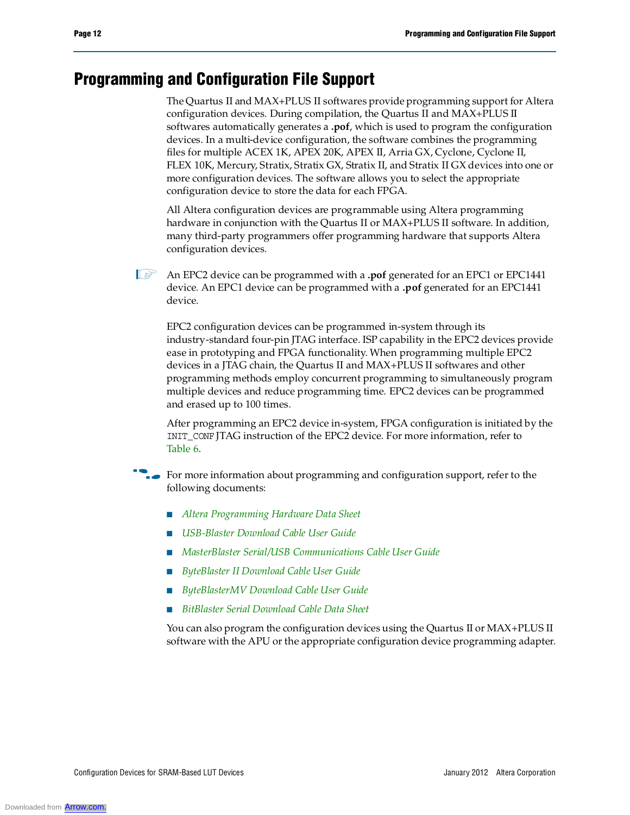## **Programming and Configuration File Support**

The Quartus II and MAX+PLUS II softwares provide programming support for Altera configuration devices. During compilation, the Quartus II and MAX+PLUS II softwares automatically generates a **.pof**, which is used to program the configuration devices. In a multi-device configuration, the software combines the programming files for multiple ACEX 1K, APEX 20K, APEX II, Arria GX, Cyclone, Cyclone II, FLEX 10K, Mercury, Stratix, Stratix GX, Stratix II, and Stratix II GX devices into one or more configuration devices. The software allows you to select the appropriate configuration device to store the data for each FPGA.

All Altera configuration devices are programmable using Altera programming hardware in conjunction with the Quartus II or MAX+PLUS II software. In addition, many third-party programmers offer programming hardware that supports Altera configuration devices.

1 An EPC2 device can be programmed with a **.pof** generated for an EPC1 or EPC1441 device. An EPC1 device can be programmed with a **.pof** generated for an EPC1441 device.

EPC2 configuration devices can be programmed in-system through its industry-standard four-pin JTAG interface. ISP capability in the EPC2 devices provide ease in prototyping and FPGA functionality. When programming multiple EPC2 devices in a JTAG chain, the Quartus II and MAX+PLUS II softwares and other programming methods employ concurrent programming to simultaneously program multiple devices and reduce programming time. EPC2 devices can be programmed and erased up to 100 times.

After programming an EPC2 device in-system, FPGA configuration is initiated by the INIT\_CONF JTAG instruction of the EPC2 device. For more information, refer to Table 6.

**For more information about programming and configuration support, refer to the** following documents:

- *Altera Programming Hardware Data Sheet*
- *USB-Blaster Download Cable User Guide*
- *MasterBlaster Serial/USB Communications Cable User Guide*
- *ByteBlaster II Download Cable User Guide*
- *ByteBlasterMV Download Cable User Guide*
- *BitBlaster Serial Download Cable Data Sheet*

You can also program the configuration devices using the Quartus II or MAX+PLUS II software with the APU or the appropriate configuration device programming adapter.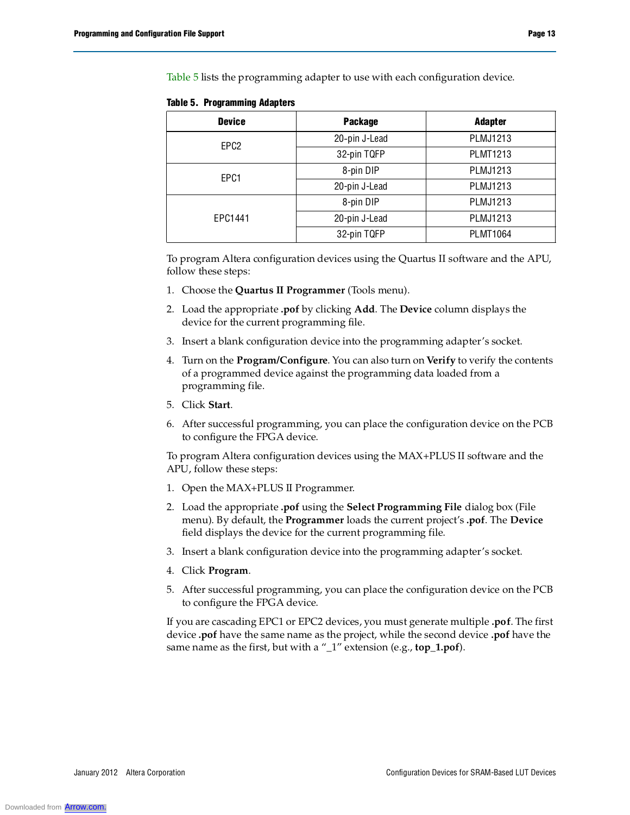Table 5 lists the programming adapter to use with each configuration device.

| <b>Device</b>    | <b>Package</b> | <b>Adapter</b>  |
|------------------|----------------|-----------------|
| EPC <sub>2</sub> | 20-pin J-Lead  | <b>PLMJ1213</b> |
|                  | 32-pin TQFP    | <b>PLMT1213</b> |
| EPC1             | 8-pin DIP      | PLMJ1213        |
|                  | 20-pin J-Lead  | PLMJ1213        |
|                  | 8-pin DIP      | PLMJ1213        |
| EPC1441          | 20-pin J-Lead  | PLMJ1213        |
|                  | 32-pin TQFP    | <b>PLMT1064</b> |

**Table 5. Programming Adapters**

To program Altera configuration devices using the Quartus II software and the APU, follow these steps:

- 1. Choose the **Quartus II Programmer** (Tools menu).
- 2. Load the appropriate **.pof** by clicking **Add**. The **Device** column displays the device for the current programming file.
- 3. Insert a blank configuration device into the programming adapter's socket.
- 4. Turn on the **Program/Configure**. You can also turn on **Verify** to verify the contents of a programmed device against the programming data loaded from a programming file.
- 5. Click **Start**.
- 6. After successful programming, you can place the configuration device on the PCB to configure the FPGA device.

To program Altera configuration devices using the MAX+PLUS II software and the APU, follow these steps:

- 1. Open the MAX+PLUS II Programmer.
- 2. Load the appropriate **.pof** using the **Select Programming File** dialog box (File menu). By default, the **Programmer** loads the current project's **.pof**. The **Device** field displays the device for the current programming file.
- 3. Insert a blank configuration device into the programming adapter's socket.
- 4. Click **Program**.
- 5. After successful programming, you can place the configuration device on the PCB to configure the FPGA device.

If you are cascading EPC1 or EPC2 devices, you must generate multiple **.pof**. The first device **.pof** have the same name as the project, while the second device **.pof** have the same name as the first, but with a "\_1" extension (e.g., **top\_1.pof**).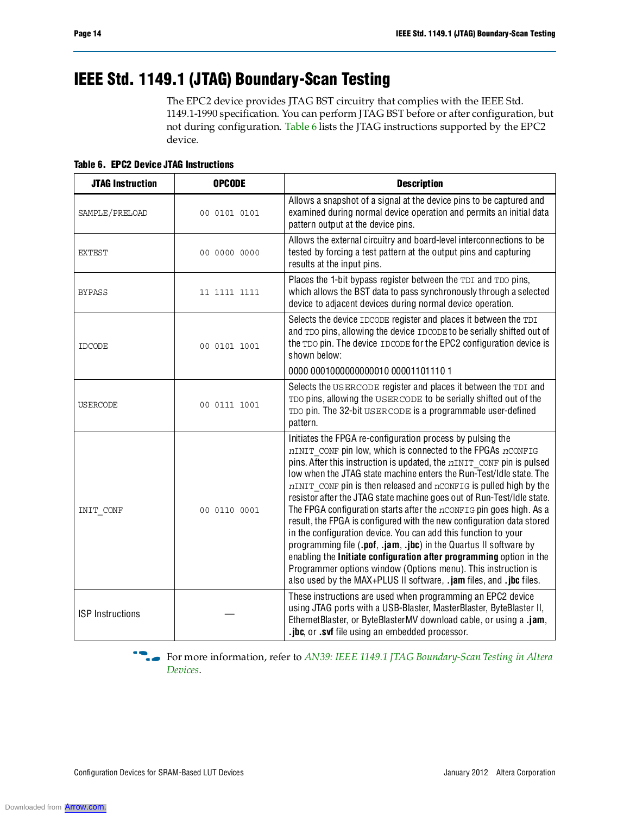# **IEEE Std. 1149.1 (JTAG) Boundary-Scan Testing**

The EPC2 device provides JTAG BST circuitry that complies with the IEEE Std. 1149.1-1990 specification. You can perform JTAG BST before or after configuration, but not during configuration. Table 6 lists the JTAG instructions supported by the EPC2 device.

**Table 6. EPC2 Device JTAG Instructions**

| <b>JTAG Instruction</b> | <b>OPCODE</b> | <b>Description</b>                                                                                                                                                                                                                                                                                                                                                                                                                                                                                                                                                                                                                                                                                                                                                                                                                                                                                                                   |
|-------------------------|---------------|--------------------------------------------------------------------------------------------------------------------------------------------------------------------------------------------------------------------------------------------------------------------------------------------------------------------------------------------------------------------------------------------------------------------------------------------------------------------------------------------------------------------------------------------------------------------------------------------------------------------------------------------------------------------------------------------------------------------------------------------------------------------------------------------------------------------------------------------------------------------------------------------------------------------------------------|
| SAMPLE/PRELOAD          | 00 0101 0101  | Allows a snapshot of a signal at the device pins to be captured and<br>examined during normal device operation and permits an initial data<br>pattern output at the device pins.                                                                                                                                                                                                                                                                                                                                                                                                                                                                                                                                                                                                                                                                                                                                                     |
| <b>EXTEST</b>           | 00 0000 0000  | Allows the external circuitry and board-level interconnections to be<br>tested by forcing a test pattern at the output pins and capturing<br>results at the input pins.                                                                                                                                                                                                                                                                                                                                                                                                                                                                                                                                                                                                                                                                                                                                                              |
| <b>BYPASS</b>           | 11 1111 1111  | Places the 1-bit bypass register between the TDI and TDO pins,<br>which allows the BST data to pass synchronously through a selected<br>device to adjacent devices during normal device operation.                                                                                                                                                                                                                                                                                                                                                                                                                                                                                                                                                                                                                                                                                                                                   |
| <b>IDCODE</b>           | 00 0101 1001  | Selects the device IDCODE register and places it between the TDI<br>and TDO pins, allowing the device IDCODE to be serially shifted out of<br>the TDO pin. The device IDCODE for the EPC2 configuration device is<br>shown below:                                                                                                                                                                                                                                                                                                                                                                                                                                                                                                                                                                                                                                                                                                    |
|                         |               | 0000 00010000000000010 00001101110 1                                                                                                                                                                                                                                                                                                                                                                                                                                                                                                                                                                                                                                                                                                                                                                                                                                                                                                 |
| <b>USERCODE</b>         | 00 0111 1001  | Selects the USERCODE register and places it between the TDI and<br>TDO pins, allowing the USERCODE to be serially shifted out of the<br>TDO pin. The 32-bit USERCODE is a programmable user-defined<br>pattern.                                                                                                                                                                                                                                                                                                                                                                                                                                                                                                                                                                                                                                                                                                                      |
| INIT CONF               | 00 0110 0001  | Initiates the FPGA re-configuration process by pulsing the<br>nINIT CONF pin low, which is connected to the FPGAs nCONFIG<br>pins. After this instruction is updated, the $nINT$ confinition is pulsed<br>low when the JTAG state machine enters the Run-Test/Idle state. The<br>nINIT CONF pin is then released and nCONFIG is pulled high by the<br>resistor after the JTAG state machine goes out of Run-Test/Idle state.<br>The FPGA configuration starts after the $n$ CONFIG pin goes high. As a<br>result, the FPGA is configured with the new configuration data stored<br>in the configuration device. You can add this function to your<br>programming file (.pof, .jam, .jbc) in the Quartus II software by<br>enabling the Initiate configuration after programming option in the<br>Programmer options window (Options menu). This instruction is<br>also used by the MAX+PLUS II software, .jam files, and .jbc files. |
| <b>ISP</b> Instructions |               | These instructions are used when programming an EPC2 device<br>using JTAG ports with a USB-Blaster, MasterBlaster, ByteBlaster II,<br>EthernetBlaster, or ByteBlasterMV download cable, or using a .jam,<br>.jbc, or .svf file using an embedded processor.                                                                                                                                                                                                                                                                                                                                                                                                                                                                                                                                                                                                                                                                          |

f For more information, refer to *AN39: IEEE 1149.1 JTAG Boundary-Scan Testing in Altera Devices*.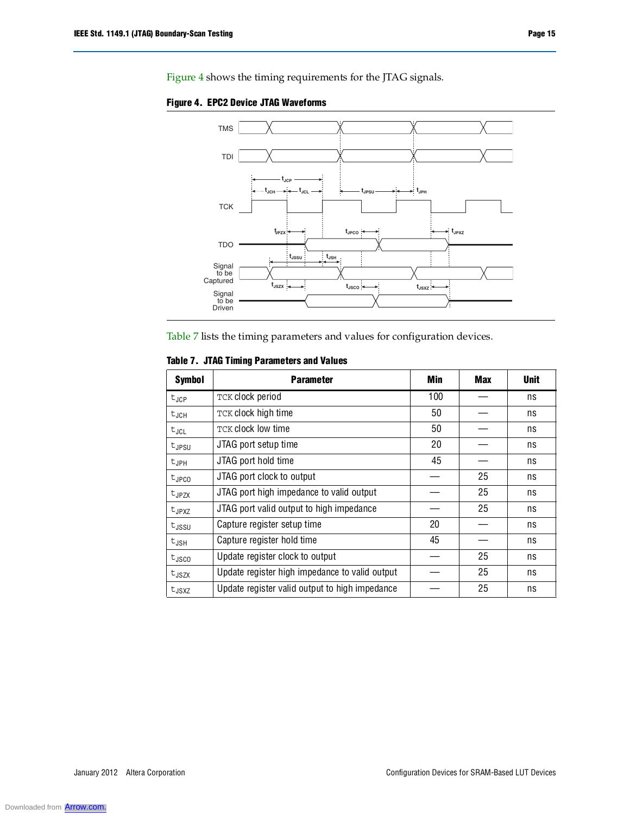

**Figure 4. EPC2 Device JTAG Waveforms**

Table 7 lists the timing parameters and values for configuration devices.

#### **Table 7. JTAG Timing Parameters and Values**

| <b>Symbol</b>     | <b>Parameter</b>                               | Min | Max | <b>Unit</b> |
|-------------------|------------------------------------------------|-----|-----|-------------|
| $t_{JCP}$         | TCK clock period                               | 100 |     | ns          |
| $t_{JGH}$         | TCK clock high time                            | 50  |     | ns          |
| $t_{JCL}$         | <b>TCK clock low time</b>                      | 50  |     | ns          |
| $t_{JPSU}$        | JTAG port setup time                           | 20  |     | ns          |
| $t_{JPH}$         | JTAG port hold time                            | 45  |     | ns          |
| $t_{\text{JPCO}}$ | JTAG port clock to output                      |     | 25  | ns          |
| $t_{JPZX}$        | JTAG port high impedance to valid output       |     | 25  | ns          |
| $t_{JPXZ}$        | JTAG port valid output to high impedance       |     | 25  | ns          |
| $t_{\rm JSSU}$    | Capture register setup time                    | 20  |     | ns          |
| $t_{JSH}$         | Capture register hold time                     | 45  |     | ns          |
| $t_{\text{JSCO}}$ | Update register clock to output                |     | 25  | ns          |
| $t_{\text{JSZX}}$ | Update register high impedance to valid output |     | 25  | ns          |
| $t_{JSXZ}$        | Update register valid output to high impedance |     | 25  | ns          |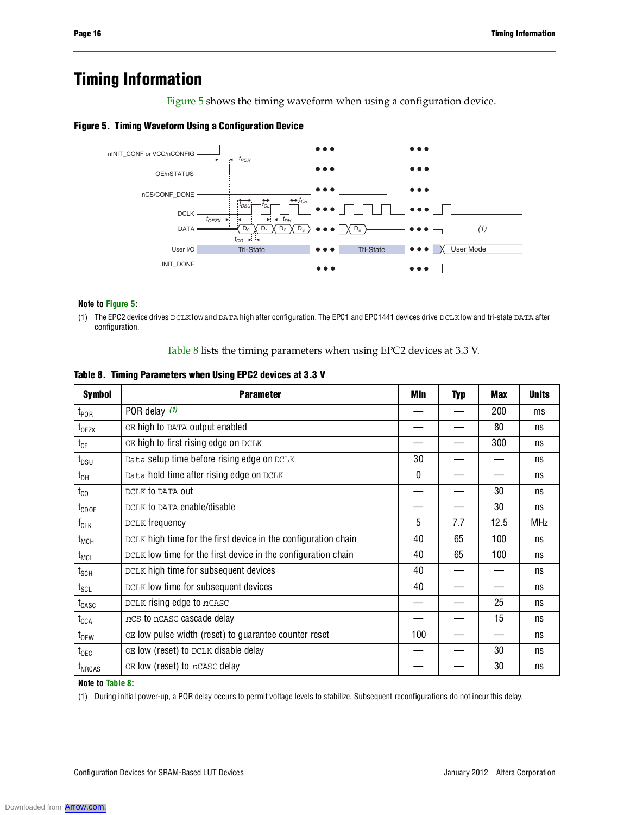# **Timing Information**

Figure 5 shows the timing waveform when using a configuration device.

#### **Figure 5. Timing Waveform Using a Configuration Device**



#### **Note to Figure 5:**

(1) The EPC2 device drives DCLK low and DATA high after configuration. The EPC1 and EPC1441 devices drive DCLK low and tri-state DATA after configuration.

Table 8 lists the timing parameters when using EPC2 devices at 3.3 V.

|  | Table 8. Timing Parameters when Using EPC2 devices at 3.3 V |  |  |
|--|-------------------------------------------------------------|--|--|
|--|-------------------------------------------------------------|--|--|

| <b>Symbol</b>                | <b>Parameter</b>                                               | Min | <b>Typ</b> | <b>Max</b> | <b>Units</b> |
|------------------------------|----------------------------------------------------------------|-----|------------|------------|--------------|
| $t_{\mathsf{POR}}$           | POR delay (1)                                                  |     |            | 200        | ms           |
| $t_{0EZX}$                   | OE high to DATA output enabled                                 |     |            | 80         | ns           |
| $t_{CE}$                     | OE high to first rising edge on DCLK                           |     |            | 300        | ns           |
| $t_{DSU}$                    | Data setup time before rising edge on DCLK                     | 30  |            |            | ns           |
| $t_{DH}$                     | Data hold time after rising edge on DCLK                       | 0   |            |            | ns           |
| $t_{\rm CO}$                 | DCLK to DATA out                                               |     |            | 30         | ns           |
| t <sub>CDOE</sub>            | DCLK to DATA enable/disable                                    |     |            | 30         | ns           |
| $f_{CLK}$                    | DCLK frequency                                                 | 5   | 7.7        | 12.5       | <b>MHz</b>   |
| $t_{MCH}$                    | DCLK high time for the first device in the configuration chain | 40  | 65         | 100        | ns           |
| $t_{MCL}$                    | DCLK low time for the first device in the configuration chain  | 40  | 65         | 100        | ns           |
| $t_{\scriptstyle\text{SCH}}$ | DCLK high time for subsequent devices                          | 40  |            |            | ns           |
| $t_{\scriptstyle\text{SCL}}$ | DCLK low time for subsequent devices                           | 40  |            |            | ns           |
| $t_{CASC}$                   | DCLK rising edge to nCASC                                      |     |            | 25         | ns           |
| $t_{\text{CCA}}$             | nCS to nCASC cascade delay                                     |     |            | 15         | ns           |
| $t_{0EW}$                    | OE low pulse width (reset) to guarantee counter reset          | 100 |            |            | ns           |
| $t_{\text{OEC}}$             | OE low (reset) to DCLK disable delay                           |     |            | 30         | ns           |
| $t_{NRCAS}$                  | OE low (reset) to nCASC delay                                  |     |            | 30         | ns           |

#### **Note to Table 8:**

(1) During initial power-up, a POR delay occurs to permit voltage levels to stabilize. Subsequent reconfigurations do not incur this delay.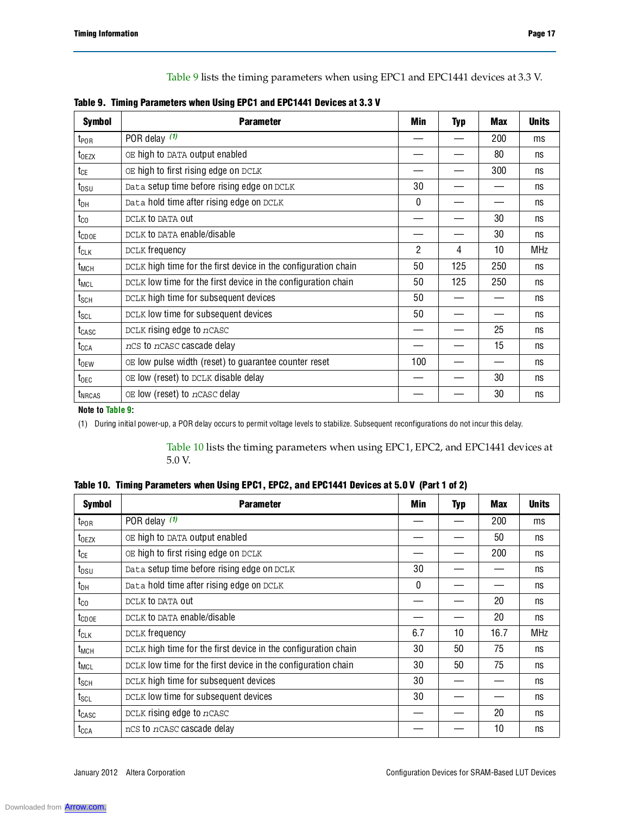Table 9 lists the timing parameters when using EPC1 and EPC1441 devices at 3.3 V.

| Table 9. Timing Parameters when Using EPC1 and EPC1441 Devices at 3.3 V |
|-------------------------------------------------------------------------|
|-------------------------------------------------------------------------|

| <b>Symbol</b>                | <b>Parameter</b>                                               | <b>Min</b>     | <b>Typ</b> | <b>Max</b> | <b>Units</b> |
|------------------------------|----------------------------------------------------------------|----------------|------------|------------|--------------|
| $t_{\mathsf{POR}}$           | POR delay $(1)$                                                |                |            | 200        | ms           |
| t <sub>OEZX</sub>            | OE high to DATA output enabled                                 |                |            | 80         | ns           |
| $t_{CE}$                     | OE high to first rising edge on DCLK                           |                |            | 300        | ns           |
| $t_{DSU}$                    | Data setup time before rising edge on DCLK                     | 30             |            |            | ns           |
| $t_{DH}$                     | Data hold time after rising edge on DCLK                       | 0              |            |            | ns           |
| $t_{\rm CO}$                 | DCLK to DATA out                                               |                |            | 30         | ns           |
| tcdoe                        | DCLK to DATA enable/disable                                    |                |            | 30         | ns           |
| $f_{CLK}$                    | DCLK frequency                                                 | $\overline{2}$ | 4          | 10         | <b>MHz</b>   |
| t <sub>MCH</sub>             | DCLK high time for the first device in the configuration chain | 50             | 125        | 250        | ns           |
| t <sub>MCL</sub>             | DCLK low time for the first device in the configuration chain  | 50             | 125        | 250        | ns           |
| $t_{\scriptstyle\text{SCH}}$ | DCLK high time for subsequent devices                          | 50             |            |            | ns           |
| $t_{\texttt{SCL}}$           | DCLK low time for subsequent devices                           | 50             |            |            | ns           |
| t <sub>CASC</sub>            | DCLK rising edge to nCASC                                      |                |            | 25         | ns           |
| t <sub>CCA</sub>             | nCS to nCASC cascade delay                                     |                |            | 15         | ns           |
| $t_{0EW}$                    | OE low pulse width (reset) to guarantee counter reset          | 100            |            |            | ns           |
| $t_{\text{OEC}}$             | OE low (reset) to DCLK disable delay                           |                |            | 30         | ns           |
| t <sub>NRCAS</sub>           | OE low (reset) to nCASC delay                                  |                |            | 30         | ns           |

#### **Note to Table 9:**

(1) During initial power-up, a POR delay occurs to permit voltage levels to stabilize. Subsequent reconfigurations do not incur this delay.

Table 10 lists the timing parameters when using EPC1, EPC2, and EPC1441 devices at 5.0 V.

| <b>Symbol</b>                | <b>Parameter</b>                                               | Min | Typ | <b>Max</b> | <b>Units</b> |
|------------------------------|----------------------------------------------------------------|-----|-----|------------|--------------|
| t <sub>por</sub>             | POR delay $(1)$                                                |     |     | 200        | ms           |
| $t_{0EZX}$                   | OE high to DATA output enabled                                 |     |     | 50         | ns           |
| $t_{CE}$                     | OE high to first rising edge on DCLK                           |     |     | 200        | ns           |
| $t_{DSU}$                    | Data setup time before rising edge on DCLK                     | 30  |     |            | ns           |
| $t_{DH}$                     | Data hold time after rising edge on DCLK                       | 0   |     |            | ns           |
| $t_{\rm CO}$                 | DCLK to DATA out                                               |     |     | 20         | ns           |
| $t_{\text{CDOE}}$            | DCLK to DATA enable/disable                                    |     |     | 20         | ns           |
| $f_{CLK}$                    | DCLK frequency                                                 | 6.7 | 10  | 16.7       | <b>MHz</b>   |
| t <sub>MCH</sub>             | DCLK high time for the first device in the configuration chain | 30  | 50  | 75         | ns           |
| t <sub>MCL</sub>             | DCLK low time for the first device in the configuration chain  | 30  | 50  | 75         | ns           |
| $t_{\scriptstyle\text{SCH}}$ | DCLK high time for subsequent devices                          | 30  |     |            | ns           |
| $t_{\scriptstyle\text{SCL}}$ | DCLK low time for subsequent devices                           | 30  |     |            | ns           |
| t <sub>CASC</sub>            | DCLK rising edge to nCASC                                      |     |     | 20         | ns           |
| t <sub>CCA</sub>             | nCS to nCASC cascade delay                                     |     |     | 10         | ns           |

| Table 10. Timing Parameters when Using EPC1, EPC2, and EPC1441 Devices at 5.0 V (Part 1 of 2) |
|-----------------------------------------------------------------------------------------------|
|-----------------------------------------------------------------------------------------------|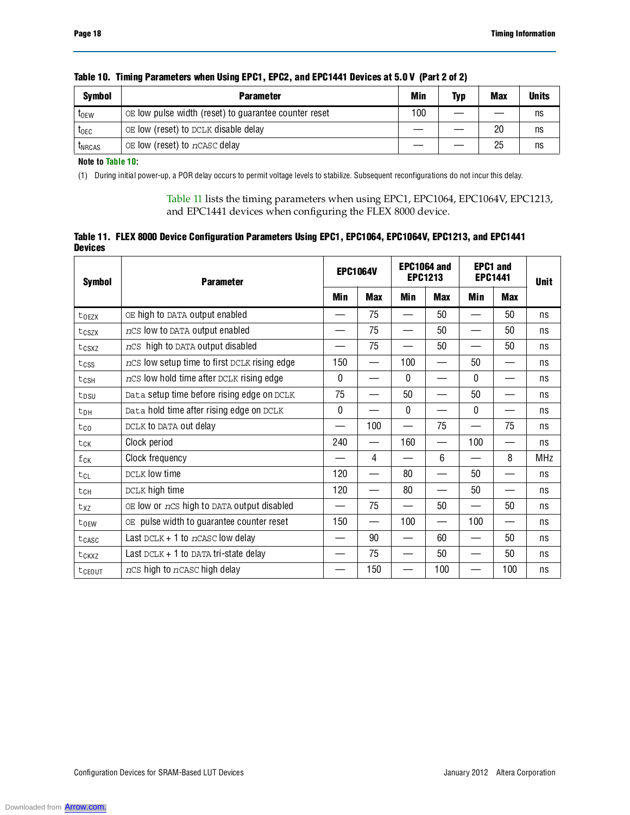| <b>Symbol</b>    | <b>Parameter</b>                                      | <b>Min</b> | <b>Typ</b> | <b>Max</b> | <b>Units</b> |
|------------------|-------------------------------------------------------|------------|------------|------------|--------------|
| t <sub>oew</sub> | OE low pulse width (reset) to guarantee counter reset | 100        |            |            | ns           |
| <b>TOEC</b>      | OE low (reset) to DCLK disable delay                  |            |            | 20         | ns           |
| <b>LNRCAS</b>    | OE low (reset) to nCASC delay                         |            |            | 25         | ns           |

#### **Table 10. Timing Parameters when Using EPC1, EPC2, and EPC1441 Devices at 5.0 V (Part 2 of 2)**

**Note to Table 10:**

(1) During initial power-up, a POR delay occurs to permit voltage levels to stabilize. Subsequent reconfigurations do not incur this delay.

Table 11 lists the timing parameters when using EPC1, EPC1064, EPC1064V, EPC1213, and EPC1441 devices when configuring the FLEX 8000 device.

|                | Table 11. FLEX 8000 Device Configuration Parameters Using EPC1, EPC1064, EPC1064V, EPC1213, and EPC1441 |  |  |
|----------------|---------------------------------------------------------------------------------------------------------|--|--|
| <b>Devices</b> |                                                                                                         |  |  |

| <b>Symbol</b>    | <b>Parameter</b>                             | <b>EPC1064V</b> |            |              |            | EPC1064 and<br><b>EPC1213</b> |            | <b>EPC1 and</b><br><b>EPC1441</b> |  | <b>Unit</b> |
|------------------|----------------------------------------------|-----------------|------------|--------------|------------|-------------------------------|------------|-----------------------------------|--|-------------|
|                  |                                              | <b>Min</b>      | <b>Max</b> | Min          | <b>Max</b> | Min                           | <b>Max</b> |                                   |  |             |
| torzx            | OE high to DATA output enabled               |                 | 75         |              | 50         |                               | 50         | ns                                |  |             |
| tcszx            | ncs low to DATA output enabled               |                 | 75         |              | 50         |                               | 50         | ns                                |  |             |
| tcsxz            | nCS high to DATA output disabled             |                 | 75         |              | 50         |                               | 50         | ns                                |  |             |
| $t_{CSS}$        | nCS low setup time to first DCLK rising edge | 150             |            | 100          |            | 50                            |            | ns                                |  |             |
| tcsh             | nCS low hold time after DCLK rising edge     | 0               |            | $\Omega$     |            | $\Omega$                      |            | ns                                |  |             |
| t <sub>DSU</sub> | Data setup time before rising edge on DCLK   | 75              |            | 50           |            | 50                            |            | ns                                |  |             |
| t <sub>DH</sub>  | Data hold time after rising edge on DCLK     | $\mathbf{0}$    |            | $\mathbf{0}$ |            | $\mathbf{0}$                  |            | ns                                |  |             |
| $t_{00}$         | DCLK to DATA out delay                       |                 | 100        |              | 75         |                               | 75         | ns                                |  |             |
| tck              | Clock period                                 | 240             |            | 160          |            | 100                           |            | ns                                |  |             |
| fck              | Clock frequency                              |                 | 4          |              | 6          |                               | 8          | <b>MHz</b>                        |  |             |
| tcl              | DCLK low time                                | 120             |            | 80           | —          | 50                            |            | ns                                |  |             |
| tch              | DCLK high time                               | 120             |            | 80           |            | 50                            |            | ns                                |  |             |
| txz              | OE low or nCS high to DATA output disabled   |                 | 75         |              | 50         |                               | 50         | ns                                |  |             |
| toEW             | OE pulse width to guarantee counter reset    | 150             |            | 100          |            | 100                           |            | ns                                |  |             |
| $t_{CASC}$       | Last DCLK + 1 to $n$ CASC low delay          |                 | 90         |              | 60         |                               | 50         | ns                                |  |             |
| tckxz            | Last $DCLK + 1$ to DATA tri-state delay      |                 | 75         |              | 50         |                               | 50         | ns                                |  |             |
| tcEOUT           | ncs high to ncasc high delay                 |                 | 150        |              | 100        |                               | 100        | ns                                |  |             |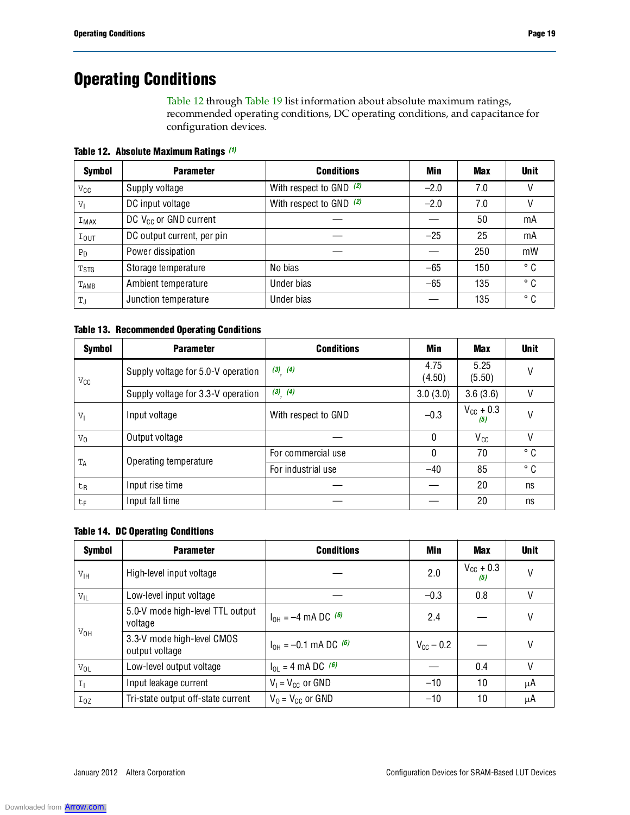# **Operating Conditions**

Table 12 through Table 19 list information about absolute maximum ratings, recommended operating conditions, DC operating conditions, and capacitance for configuration devices.

**Table 12. Absolute Maximum Ratings** *(1)*

| <b>Symbol</b>          | <b>Parameter</b>           | <b>Conditions</b>         | Min    | <b>Max</b> | <b>Unit</b> |
|------------------------|----------------------------|---------------------------|--------|------------|-------------|
| $V_{\mathsf{CC}}$      | Supply voltage             | With respect to GND $(2)$ | $-2.0$ | 7.0        |             |
| $V_{\parallel}$        | DC input voltage           | With respect to GND $(2)$ | $-2.0$ | 7.0        |             |
| IMAX                   | DC $V_{CC}$ or GND current |                           |        | 50         | mA          |
| $I_{\text{OUT}}$       | DC output current, per pin |                           | $-25$  | 25         | mA          |
| P <sub>D</sub>         | Power dissipation          |                           |        | 250        | mW          |
| <b>T<sub>STG</sub></b> | Storage temperature        | No bias                   | $-65$  | 150        | ° C         |
| TAMB                   | Ambient temperature        | Under bias                | $-65$  | 135        | ° C         |
| T,                     | Junction temperature       | Under bias                |        | 135        | ° C         |

#### **Table 13. Recommended Operating Conditions**

| <b>Symbol</b>     | <b>Parameter</b>                   | <b>Conditions</b>   | Min            | <b>Max</b>                   | <b>Unit</b>  |
|-------------------|------------------------------------|---------------------|----------------|------------------------------|--------------|
| $V_{\mathsf{CC}}$ | Supply voltage for 5.0-V operation | $(3)$ $(4)$         | 4.75<br>(4.50) | 5.25<br>(5.50)               |              |
|                   | Supply voltage for 3.3-V operation | $(3)$ $(4)$         | 3.0(3.0)       | 3.6(3.6)                     | ۷            |
| $V_{\parallel}$   | Input voltage                      | With respect to GND | $-0.3$         | $V_{\text{CC}} + 0.3$<br>(5) | V            |
| $V_0$             | Output voltage                     |                     | $\Omega$       | $V_{cc}$                     | V            |
| $T_A$             | Operating temperature              | For commercial use  | $\mathbf{0}$   | 70                           | ° C          |
|                   |                                    | For industrial use  | $-40$          | 85                           | $^{\circ}$ C |
| t <sub>R</sub>    | Input rise time                    |                     |                | 20                           | ns           |
| t <sub>F</sub>    | Input fall time                    |                     |                | 20                           | ns           |

#### **Table 14. DC Operating Conditions**

| <b>Symbol</b>   | <b>Parameter</b>                             | <b>Conditions</b>              | Min                   | <b>Max</b>                   | <b>Unit</b> |
|-----------------|----------------------------------------------|--------------------------------|-----------------------|------------------------------|-------------|
| $V_{\text{IH}}$ | High-level input voltage                     |                                | 2.0                   | $V_{\text{CC}}$ + 0.3<br>(5) |             |
| $V_{IL}$        | Low-level input voltage                      |                                | $-0.3$                | 0.8                          |             |
|                 | 5.0-V mode high-level TTL output<br>voltage  | $I_{OH} = -4$ mA DC $^{(6)}$   | 2.4                   |                              | V           |
| $V_{OH}$        | 3.3-V mode high-level CMOS<br>output voltage | $I_{OH} = -0.1$ mA DC $^{(6)}$ | $V_{\text{cc}}$ – 0.2 |                              | V           |
| $V_{OL}$        | Low-level output voltage                     | $I_{OL} = 4 \text{ mA DC}$ (6) |                       | 0.4                          |             |
| I <sub>1</sub>  | Input leakage current                        | $V_1 = V_{CC}$ or GND          | $-10$                 | 10                           | μA          |
| $I_{0Z}$        | Tri-state output off-state current           | $V_0 = V_{CC}$ or GND          | $-10$                 | 10                           | μA          |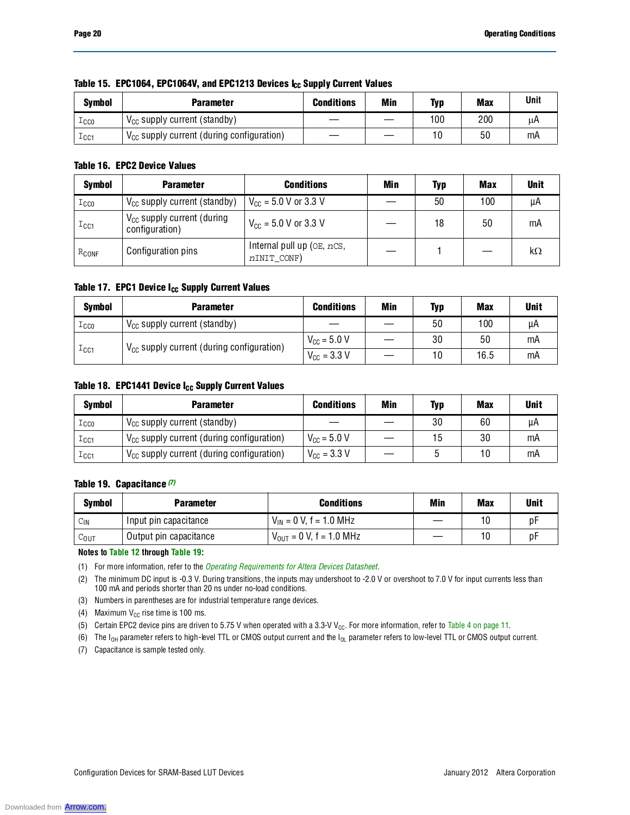| <b>Symbol</b> | Parameter                                      | <b>Conditions</b> | Min | Typ | <b>Max</b> | <b>Unit</b> |
|---------------|------------------------------------------------|-------------------|-----|-----|------------|-------------|
| $_{\tt ICCO}$ | $V_{CC}$ supply current (standby)              |                   |     | 100 | 200        | μA          |
| $_{\tt ICC1}$ | $V_{CC}$ supply current (during configuration) |                   |     | 10  | 50         | mA          |

#### Table 15. EPC1064, EPC1064V, and EPC1213 Devices I<sub>CC</sub> Supply Current Values

#### **Table 16. EPC2 Device Values**

| <b>Symbol</b>    | <b>Parameter</b>                                  | <b>Conditions</b>                                 | <b>Min</b> | <b>Typ</b> | Max | <b>Unit</b> |
|------------------|---------------------------------------------------|---------------------------------------------------|------------|------------|-----|-------------|
| $_{\text{ICCO}}$ | $V_{CC}$ supply current (standby)                 | $V_{CC}$ = 5.0 V or 3.3 V                         |            | 50         | 100 | μA          |
| $_{\text{ICC1}}$ | $V_{CC}$ supply current (during<br>configuration) | $V_{\text{CC}} = 5.0 \text{ V or } 3.3 \text{ V}$ |            | 18         | 50  | mA          |
| $R_{CONF}$       | Configuration pins                                | Internal pull up (OE, nCS,<br>nINIT_CONF)         |            |            |     | kΩ          |

#### Table 17. EPC1 Device I<sub>CC</sub> Supply Current Values

| <b>Symbol</b>          | <b>Parameter</b>                                      | <b>Conditions</b>               | Min | Typ | <b>Max</b> | <b>Unit</b> |
|------------------------|-------------------------------------------------------|---------------------------------|-----|-----|------------|-------------|
| $_{\tt TCCO}$          | $V_{CC}$ supply current (standby)                     |                                 |     | 50  | 100        | μA          |
| $\perp$ <sub>CC1</sub> | $V_{\text{CC}}$ supply current (during configuration) | $V_{\text{CC}} = 5.0 V$         |     | 30  | 50         | mA          |
|                        |                                                       | $V_{\text{CC}} = 3.3 \text{ V}$ |     | 10  | 16.5       | mA          |

#### Table 18. EPC1441 Device I<sub>CC</sub> Supply Current Values

| <b>Symbol</b>    | <b>Parameter</b>                               | <b>Conditions</b>               | Min | <b>Typ</b> | <b>Max</b> | <b>Unit</b> |
|------------------|------------------------------------------------|---------------------------------|-----|------------|------------|-------------|
| $_{\tt TCCO}$    | $V_{CC}$ supply current (standby)              |                                 |     | 30         | 60         | μA          |
| $_{\text{ICC1}}$ | $V_{CC}$ supply current (during configuration) | $V_{\text{CC}} = 5.0 V$         |     | 15         | 30         | mA          |
| $_{\text{ICC1}}$ | $V_{CC}$ supply current (during configuration) | $V_{\text{CC}} = 3.3 \text{ V}$ |     |            | 10         | mA          |

#### **Table 19. Capacitance** *(7)*

| Symbol           | <b>Parameter</b>       | <b>Conditions</b>                   | Min | <b>Max</b> | Unit |
|------------------|------------------------|-------------------------------------|-----|------------|------|
| $C_{\text{IN}}$  | Input pin capacitance  | $V_{IN}$ = 0 V, f = 1.0 MHz         |     | 10         | Dŀ   |
| $C_{\text{OUT}}$ | Output pin capacitance | $V_{\text{OUT}} = 0$ V, f = 1.0 MHz |     | 10         | рŀ   |

**Notes to Table 12 through Table 19:**

(1) For more information, refer to the *Operating Requirements for Altera Devices Datasheet*.

(2) The minimum DC input is -0.3 V. During transitions, the inputs may undershoot to -2.0 V or overshoot to 7.0 V for input currents less than 100 mA and periods shorter than 20 ns under no-load conditions.

(3) Numbers in parentheses are for industrial temperature range devices.

(4) Maximum  $V_{CC}$  rise time is 100 ms.

(5) Certain EPC2 device pins are driven to 5.75 V when operated with a 3.3-V V<sub>CC</sub>. For more information, refer to Table 4 on page 11.

(6) The  $I_{OH}$  parameter refers to high-level TTL or CMOS output current and the  $I_{OL}$  parameter refers to low-level TTL or CMOS output current.

(7) Capacitance is sample tested only.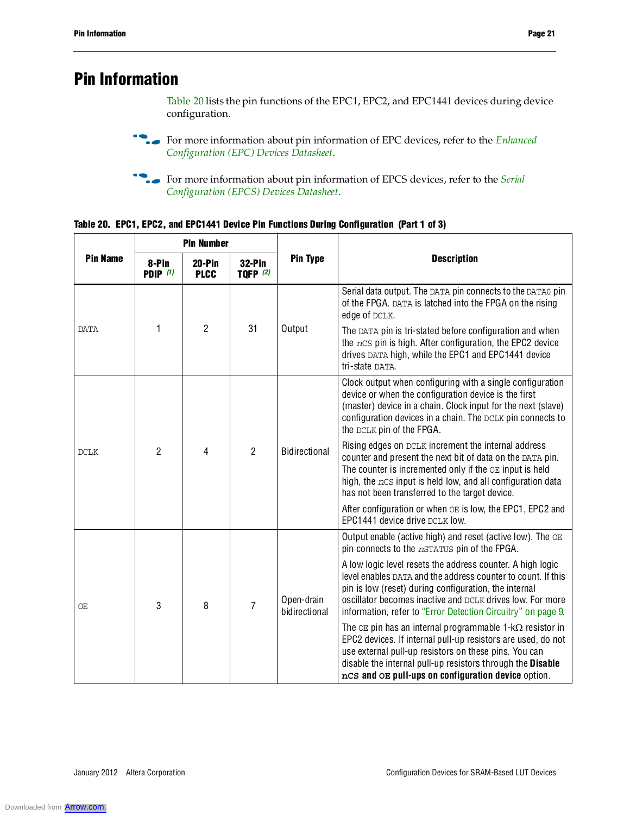# **Pin Information**

Table 20 lists the pin functions of the EPC1, EPC2, and EPC1441 devices during device configuration.

- **For more information about pin information of EPC devices, refer to the** *Enhanced Configuration (EPC) Devices Datasheet*.
- **for more information about pin information of EPCS devices, refer to the** *Serial Configuration (EPCS) Devices Datasheet*.

| Table 20. EPC1, EPC2, and EPC1441 Device Pin Functions During Configuration (Part 1 of 3) |
|-------------------------------------------------------------------------------------------|
|-------------------------------------------------------------------------------------------|

|                 |                          | <b>Pin Number</b>       |                                  |                             |                                                                                                                                                                                                                                                                                                                  |
|-----------------|--------------------------|-------------------------|----------------------------------|-----------------------------|------------------------------------------------------------------------------------------------------------------------------------------------------------------------------------------------------------------------------------------------------------------------------------------------------------------|
| <b>Pin Name</b> | 8-Pin<br><b>PDIP</b> (1) | $20-Pin$<br><b>PLCC</b> | <b>32-Pin</b><br><b>TQFP</b> (2) | <b>Pin Type</b>             | <b>Description</b>                                                                                                                                                                                                                                                                                               |
|                 |                          |                         |                                  |                             | Serial data output. The DATA pin connects to the DATA0 pin<br>of the FPGA. DATA is latched into the FPGA on the rising<br>edge of DCLK.                                                                                                                                                                          |
| <b>DATA</b>     | 1                        | $\overline{2}$          | 31                               | Output                      | The DATA pin is tri-stated before configuration and when<br>the nCS pin is high. After configuration, the EPC2 device<br>drives DATA high, while the EPC1 and EPC1441 device<br>tri-state DATA.                                                                                                                  |
| <b>DCLK</b>     |                          |                         |                                  |                             | Clock output when configuring with a single configuration<br>device or when the configuration device is the first<br>(master) device in a chain. Clock input for the next (slave)<br>configuration devices in a chain. The DCLK pin connects to<br>the DCLK pin of the FPGA.                                     |
|                 | $\mathfrak{p}$           | 4                       | $\overline{2}$                   | <b>Bidirectional</b>        | Rising edges on DCLK increment the internal address<br>counter and present the next bit of data on the DATA pin.<br>The counter is incremented only if the OE input is held<br>high, the $ncs$ input is held low, and all configuration data<br>has not been transferred to the target device.                   |
|                 |                          |                         |                                  |                             | After configuration or when OE is low, the EPC1, EPC2 and<br>EPC1441 device drive DCLK low.                                                                                                                                                                                                                      |
|                 |                          |                         |                                  |                             | Output enable (active high) and reset (active low). The $OE$<br>pin connects to the nSTATUS pin of the FPGA.                                                                                                                                                                                                     |
| ОE              | 3                        | 8                       | $\overline{7}$                   | Open-drain<br>bidirectional | A low logic level resets the address counter. A high logic<br>level enables DATA and the address counter to count. If this<br>pin is low (reset) during configuration, the internal<br>oscillator becomes inactive and DCLK drives low. For more<br>information, refer to "Error Detection Circuitry" on page 9. |
|                 |                          |                         |                                  |                             | The $OE$ pin has an internal programmable 1- $k\Omega$ resistor in<br>EPC2 devices. If internal pull-up resistors are used, do not<br>use external pull-up resistors on these pins. You can<br>disable the internal pull-up resistors through the Disable<br>nCS and OE pull-ups on configuration device option. |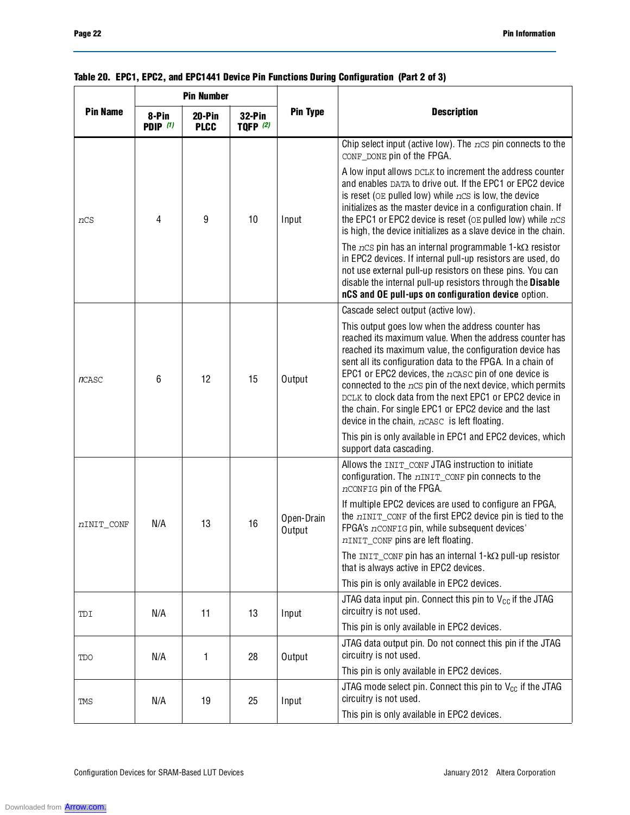|                 |                     | <b>Pin Number</b>     |                             |                      |                                                                                                                                                                                                                                                                                                                                                                                                                                                                                                                                    |  |
|-----------------|---------------------|-----------------------|-----------------------------|----------------------|------------------------------------------------------------------------------------------------------------------------------------------------------------------------------------------------------------------------------------------------------------------------------------------------------------------------------------------------------------------------------------------------------------------------------------------------------------------------------------------------------------------------------------|--|
| <b>Pin Name</b> | 8-Pin<br>PDIP $(1)$ | 20-Pin<br><b>PLCC</b> | $32-Pin$<br><b>TQFP</b> (2) | <b>Pin Type</b>      | <b>Description</b>                                                                                                                                                                                                                                                                                                                                                                                                                                                                                                                 |  |
|                 |                     |                       |                             |                      | Chip select input (active low). The $ncs$ pin connects to the<br>CONF_DONE pin of the FPGA.                                                                                                                                                                                                                                                                                                                                                                                                                                        |  |
| nCS             | 4                   | 9                     | 10                          | Input                | A low input allows DCLK to increment the address counter<br>and enables DATA to drive out. If the EPC1 or EPC2 device<br>is reset ( $OE$ pulled low) while $nCS$ is low, the device<br>initializes as the master device in a configuration chain. If<br>the EPC1 or EPC2 device is reset ( $OE$ pulled low) while $nCS$<br>is high, the device initializes as a slave device in the chain.                                                                                                                                         |  |
|                 |                     |                       |                             |                      | The $ncs$ pin has an internal programmable 1-k $\Omega$ resistor<br>in EPC2 devices. If internal pull-up resistors are used, do<br>not use external pull-up resistors on these pins. You can<br>disable the internal pull-up resistors through the Disable<br>nCS and OE pull-ups on configuration device option.                                                                                                                                                                                                                  |  |
|                 |                     |                       |                             |                      | Cascade select output (active low).                                                                                                                                                                                                                                                                                                                                                                                                                                                                                                |  |
| <b>n</b> CASC   | 6                   | 12                    | 15                          | Output               | This output goes low when the address counter has<br>reached its maximum value. When the address counter has<br>reached its maximum value, the configuration device has<br>sent all its configuration data to the FPGA. In a chain of<br>EPC1 or EPC2 devices, the nCASC pin of one device is<br>connected to the $ncs$ pin of the next device, which permits<br>DCLK to clock data from the next EPC1 or EPC2 device in<br>the chain. For single EPC1 or EPC2 device and the last<br>device in the chain, nCASC is left floating. |  |
|                 |                     |                       |                             |                      | This pin is only available in EPC1 and EPC2 devices, which<br>support data cascading.                                                                                                                                                                                                                                                                                                                                                                                                                                              |  |
|                 |                     |                       |                             |                      | Allows the INIT_CONF JTAG instruction to initiate<br>configuration. The nINIT_CONF pin connects to the<br>nCONFIG pin of the FPGA.                                                                                                                                                                                                                                                                                                                                                                                                 |  |
| nINIT CONF      | N/A                 | 13                    | 16                          | Open-Drain<br>Output | If multiple EPC2 devices are used to configure an FPGA,<br>the nINIT_CONF of the first EPC2 device pin is tied to the<br>FPGA's nCONFIG pin, while subsequent devices'<br>nINIT_CONF pins are left floating.                                                                                                                                                                                                                                                                                                                       |  |
|                 |                     |                       |                             |                      | The INIT_CONF pin has an internal $1-k\Omega$ pull-up resistor<br>that is always active in EPC2 devices.                                                                                                                                                                                                                                                                                                                                                                                                                           |  |
|                 |                     |                       |                             |                      | This pin is only available in EPC2 devices.                                                                                                                                                                                                                                                                                                                                                                                                                                                                                        |  |
| TDI             | N/A                 | 11                    | 13                          | Input                | JTAG data input pin. Connect this pin to $V_{CC}$ if the JTAG<br>circuitry is not used.                                                                                                                                                                                                                                                                                                                                                                                                                                            |  |
|                 |                     |                       |                             |                      | This pin is only available in EPC2 devices.                                                                                                                                                                                                                                                                                                                                                                                                                                                                                        |  |
| <b>TDO</b>      | N/A                 | 1                     | 28                          | Output               | JTAG data output pin. Do not connect this pin if the JTAG<br>circuitry is not used.                                                                                                                                                                                                                                                                                                                                                                                                                                                |  |
|                 |                     |                       |                             |                      | This pin is only available in EPC2 devices.                                                                                                                                                                                                                                                                                                                                                                                                                                                                                        |  |
| TMS             | N/A                 | 19                    | 25                          | Input                | JTAG mode select pin. Connect this pin to $V_{CC}$ if the JTAG<br>circuitry is not used.                                                                                                                                                                                                                                                                                                                                                                                                                                           |  |
|                 |                     |                       |                             |                      | This pin is only available in EPC2 devices.                                                                                                                                                                                                                                                                                                                                                                                                                                                                                        |  |

### **Table 20. EPC1, EPC2, and EPC1441 Device Pin Functions During Configuration (Part 2 of 3)**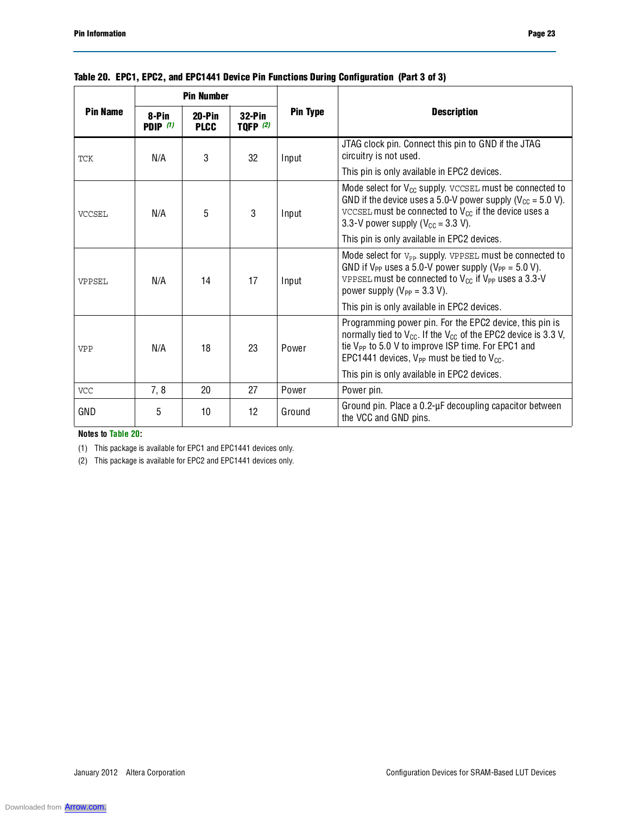|                 | <b>Pin Number</b>        |                         |                             |                 |                                                                                                                                                                                                                                                                             |
|-----------------|--------------------------|-------------------------|-----------------------------|-----------------|-----------------------------------------------------------------------------------------------------------------------------------------------------------------------------------------------------------------------------------------------------------------------------|
| <b>Pin Name</b> | 8-Pin<br><b>PDIP</b> (1) | $20-Pin$<br><b>PLCC</b> | $32-Pin$<br><b>TQFP (2)</b> | <b>Pin Type</b> | <b>Description</b>                                                                                                                                                                                                                                                          |
| <b>TCK</b>      | N/A                      | 3                       | 32                          | Input           | JTAG clock pin. Connect this pin to GND if the JTAG<br>circuitry is not used.                                                                                                                                                                                               |
|                 |                          |                         |                             |                 | This pin is only available in EPC2 devices.                                                                                                                                                                                                                                 |
| <b>VCCSEL</b>   | N/A                      | 5                       | 3                           | Input           | Mode select for $V_{CC}$ supply. $VCCSEL$ must be connected to<br>GND if the device uses a 5.0-V power supply ( $V_{\text{CC}}$ = 5.0 V).<br>VCCSEL must be connected to $V_{CC}$ if the device uses a<br>3.3-V power supply ( $V_{CC}$ = 3.3 V).                           |
|                 |                          |                         |                             |                 | This pin is only available in EPC2 devices.                                                                                                                                                                                                                                 |
| VPPSEL          | N/A                      | 14                      | 17                          | Input           | Mode select for V <sub>PP</sub> supply. VPPSEL must be connected to<br>GND if $V_{PP}$ uses a 5.0-V power supply ( $V_{PP}$ = 5.0 V).<br>VPPSEL must be connected to $V_{CC}$ if $V_{PP}$ uses a 3.3-V<br>power supply ( $V_{PP}$ = 3.3 V).                                 |
|                 |                          |                         |                             |                 | This pin is only available in EPC2 devices.                                                                                                                                                                                                                                 |
| <b>VPP</b>      | N/A                      | 18                      | 23                          | Power           | Programming power pin. For the EPC2 device, this pin is<br>normally tied to $V_{\text{CC}}$ . If the $V_{\text{CC}}$ of the EPC2 device is 3.3 V,<br>tie V <sub>PP</sub> to 5.0 V to improve ISP time. For EPC1 and<br>EPC1441 devices, $V_{PP}$ must be tied to $V_{CC}$ . |
|                 |                          |                         |                             |                 | This pin is only available in EPC2 devices.                                                                                                                                                                                                                                 |
| <b>VCC</b>      | 7, 8                     | 20                      | 27                          | Power           | Power pin.                                                                                                                                                                                                                                                                  |
| GND             | 5                        | 10                      | 12                          | Ground          | Ground pin. Place a 0.2-µF decoupling capacitor between<br>the VCC and GND pins.                                                                                                                                                                                            |

### **Table 20. EPC1, EPC2, and EPC1441 Device Pin Functions During Configuration (Part 3 of 3)**

**Notes to Table 20:**

(1) This package is available for EPC1 and EPC1441 devices only.

(2) This package is available for EPC2 and EPC1441 devices only.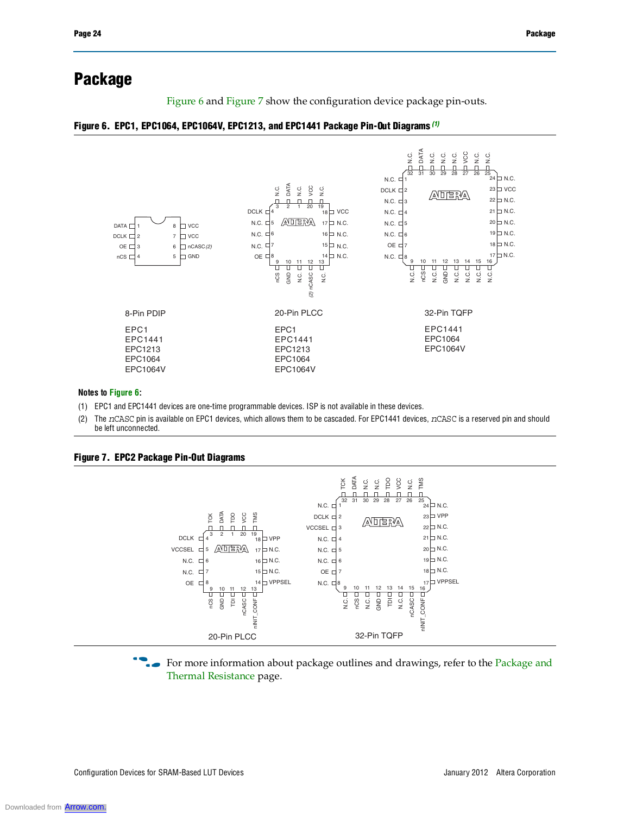## **Package**

Figure 6 and Figure 7 show the configuration device package pin-outs.

#### **Figure 6. EPC1, EPC1064, EPC1064V, EPC1213, and EPC1441 Package Pin-Out Diagrams** *(1)*



#### **Notes to Figure 6:**

- (1) EPC1 and EPC1441 devices are one-time programmable devices. ISP is not available in these devices.
- (2) The *n*CASC pin is available on EPC1 devices, which allows them to be cascaded. For EPC1441 devices, *n*CASC is a reserved pin and should be left unconnected.



**Figure 7. EPC2 Package Pin-Out Diagrams**

For more information about package outlines and drawings, refer to the Package and Thermal Resistance page.